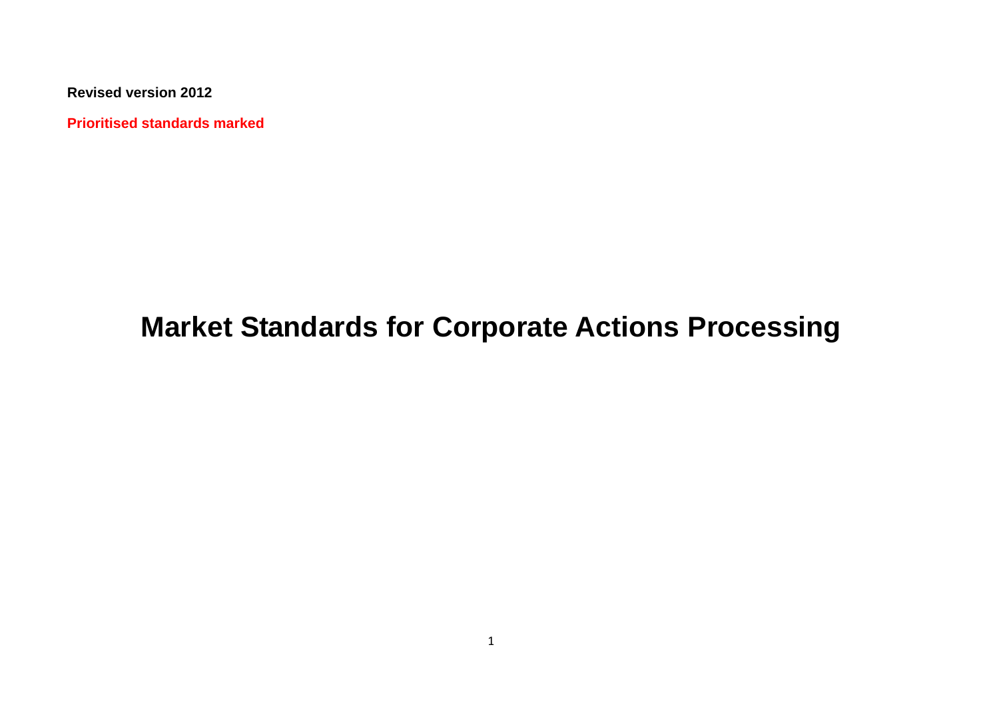**Revised version 2012**

**Prioritised standards marked**

# **Market Standards for Corporate Actions Processing**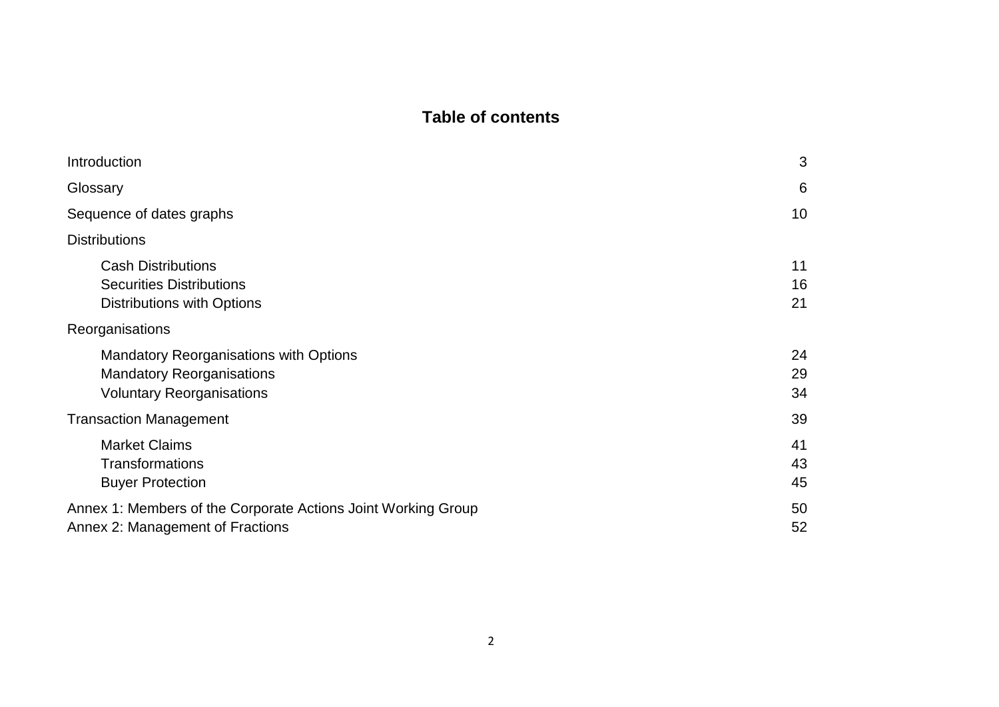# **Table of contents**

<span id="page-1-0"></span>

| Introduction                                                                                                          | 3              |
|-----------------------------------------------------------------------------------------------------------------------|----------------|
| Glossary                                                                                                              | 6              |
| Sequence of dates graphs                                                                                              | 10             |
| <b>Distributions</b>                                                                                                  |                |
| <b>Cash Distributions</b><br><b>Securities Distributions</b><br><b>Distributions with Options</b>                     | 11<br>16<br>21 |
| Reorganisations                                                                                                       |                |
| <b>Mandatory Reorganisations with Options</b><br><b>Mandatory Reorganisations</b><br><b>Voluntary Reorganisations</b> | 24<br>29<br>34 |
| <b>Transaction Management</b>                                                                                         | 39             |
| <b>Market Claims</b><br><b>Transformations</b><br><b>Buyer Protection</b>                                             | 41<br>43<br>45 |
| Annex 1: Members of the Corporate Actions Joint Working Group<br>Annex 2: Management of Fractions                     | 50<br>52       |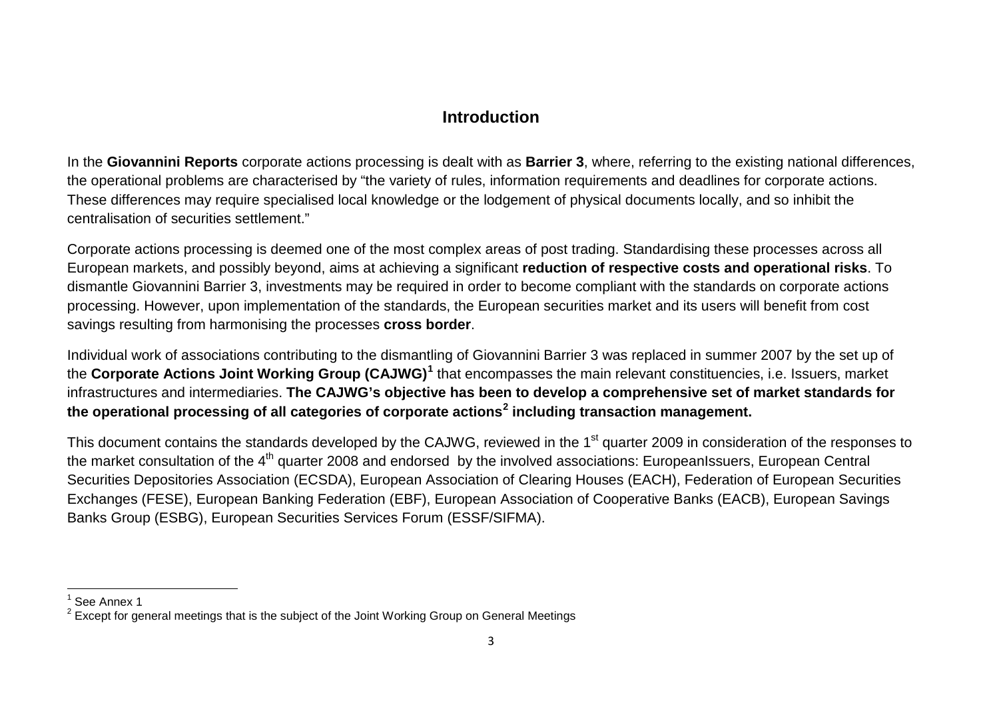# <span id="page-2-1"></span><span id="page-2-0"></span>**Introduction**

In the **Giovannini Reports** corporate actions processing is dealt with as **Barrier 3**, where, referring to the existing national differences, the operational problems are characterised by "the variety of rules, information requirements and deadlines for corporate actions. These differences may require specialised local knowledge or the lodgement of physical documents locally, and so inhibit the centralisation of securities settlement."

Corporate actions processing is deemed one of the most complex areas of post trading. Standardising these processes across all European markets, and possibly beyond, aims at achieving a significant **reduction of respective costs and operational risks**. To dismantle Giovannini Barrier 3, investments may be required in order to become compliant with the standards on corporate actions processing. However, upon implementation of the standards, the European securities market and its users will benefit from cost savings resulting from harmonising the processes **cross border**.

Individual work of associations contributing to the dismantling of Giovannini Barrier 3 was replaced in summer 2007 by the set up of the **Corporate Actions Joint Working Group (CAJWG)[1](#page-2-0)** that encompasses the main relevant constituencies, i.e. Issuers, market infrastructures and intermediaries. **The CAJWG's objective has been to develop a comprehensive set of market standards for the operational processing of all categories of corporate actions[2](#page-2-1) including transaction management.**

This document contains the standards developed by the CAJWG, reviewed in the 1<sup>st</sup> quarter 2009 in consideration of the responses to the market consultation of the 4<sup>th</sup> quarter 2008 and endorsed by the involved associations: EuropeanIssuers, European Central Securities Depositories Association (ECSDA), European Association of Clearing Houses (EACH), Federation of European Securities Exchanges (FESE), European Banking Federation (EBF), European Association of Cooperative Banks (EACB), European Savings Banks Group (ESBG), European Securities Services Forum (ESSF/SIFMA).

<sup>1</sup> See Annex 1

<sup>&</sup>lt;sup>2</sup> Except for general meetings that is the subject of the Joint Working Group on General Meetings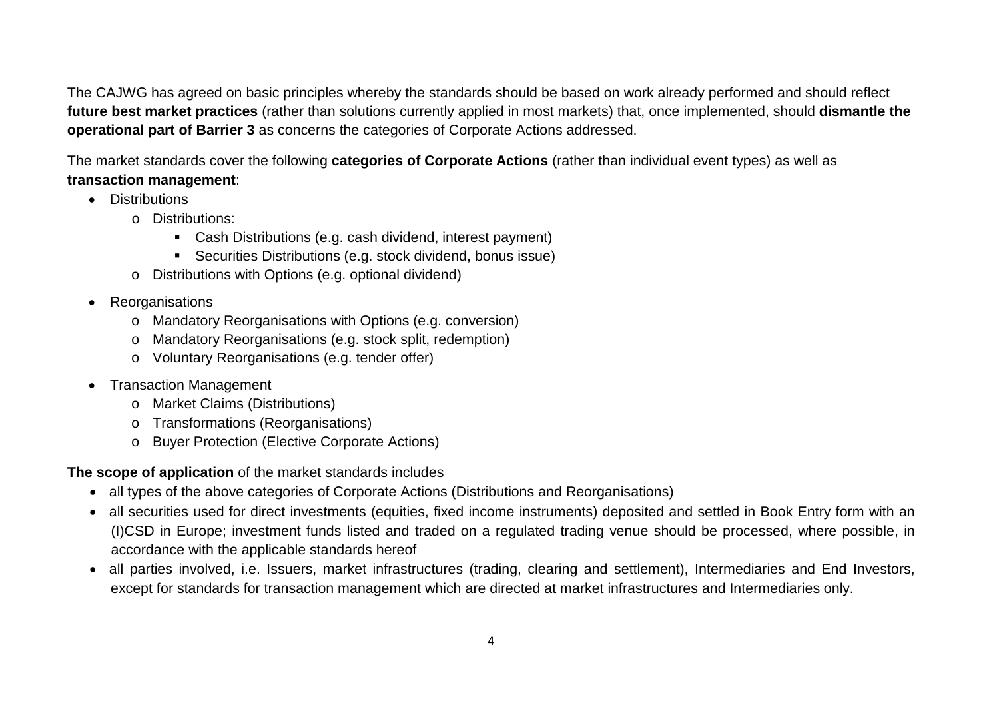The CAJWG has agreed on basic principles whereby the standards should be based on work already performed and should reflect **future best market practices** (rather than solutions currently applied in most markets) that, once implemented, should **dismantle the operational part of Barrier 3** as concerns the categories of Corporate Actions addressed.

The market standards cover the following **categories of Corporate Actions** (rather than individual event types) as well as **transaction management**:

- Distributions
	- o Distributions:
		- Cash Distributions (e.g. cash dividend, interest payment)
		- Securities Distributions (e.g. stock dividend, bonus issue)
	- o Distributions with Options (e.g. optional dividend)
- Reorganisations
	- o Mandatory Reorganisations with Options (e.g. conversion)
	- o Mandatory Reorganisations (e.g. stock split, redemption)
	- o Voluntary Reorganisations (e.g. tender offer)
- Transaction Management
	- o Market Claims (Distributions)
	- o Transformations (Reorganisations)
	- o Buyer Protection (Elective Corporate Actions)

**The scope of application** of the market standards includes

- all types of the above categories of Corporate Actions (Distributions and Reorganisations)
- all securities used for direct investments (equities, fixed income instruments) deposited and settled in Book Entry form with an (I)CSD in Europe; investment funds listed and traded on a regulated trading venue should be processed, where possible, in accordance with the applicable standards hereof
- all parties involved, i.e. Issuers, market infrastructures (trading, clearing and settlement), Intermediaries and End Investors, except for standards for transaction management which are directed at market infrastructures and Intermediaries only.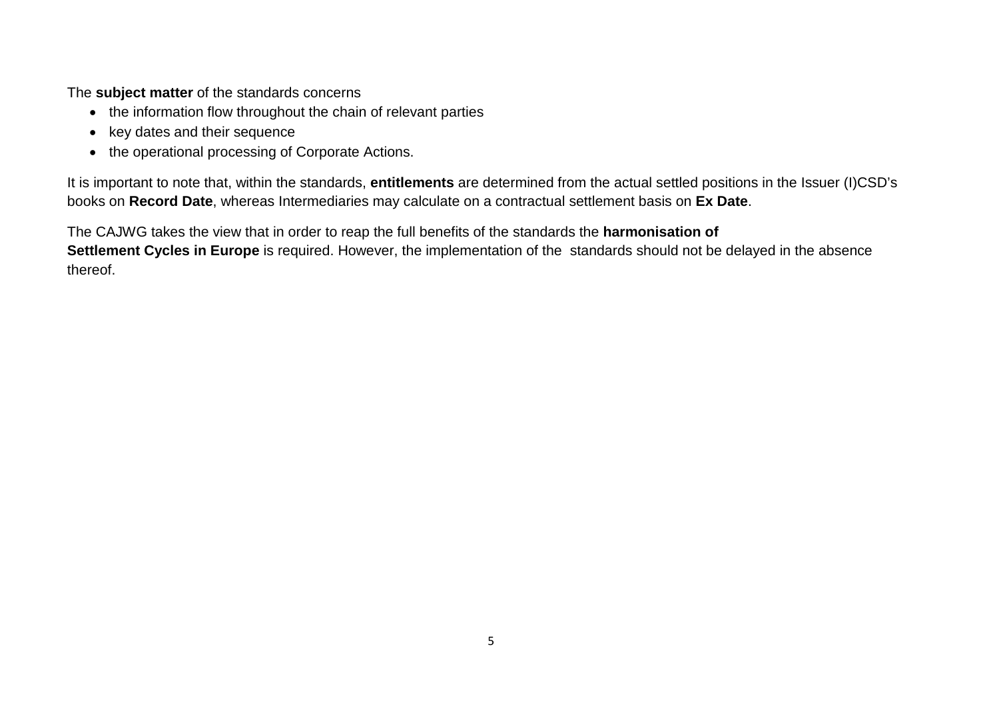The **subject matter** of the standards concerns

- the information flow throughout the chain of relevant parties
- key dates and their sequence
- the operational processing of Corporate Actions.

It is important to note that, within the standards, **entitlements** are determined from the actual settled positions in the Issuer (I)CSD's books on **Record Date**, whereas Intermediaries may calculate on a contractual settlement basis on **Ex Date**.

<span id="page-4-0"></span>The CAJWG takes the view that in order to reap the full benefits of the standards the **harmonisation of Settlement Cycles in Europe** is required. However, the implementation of the standards should not be delayed in the absence thereof.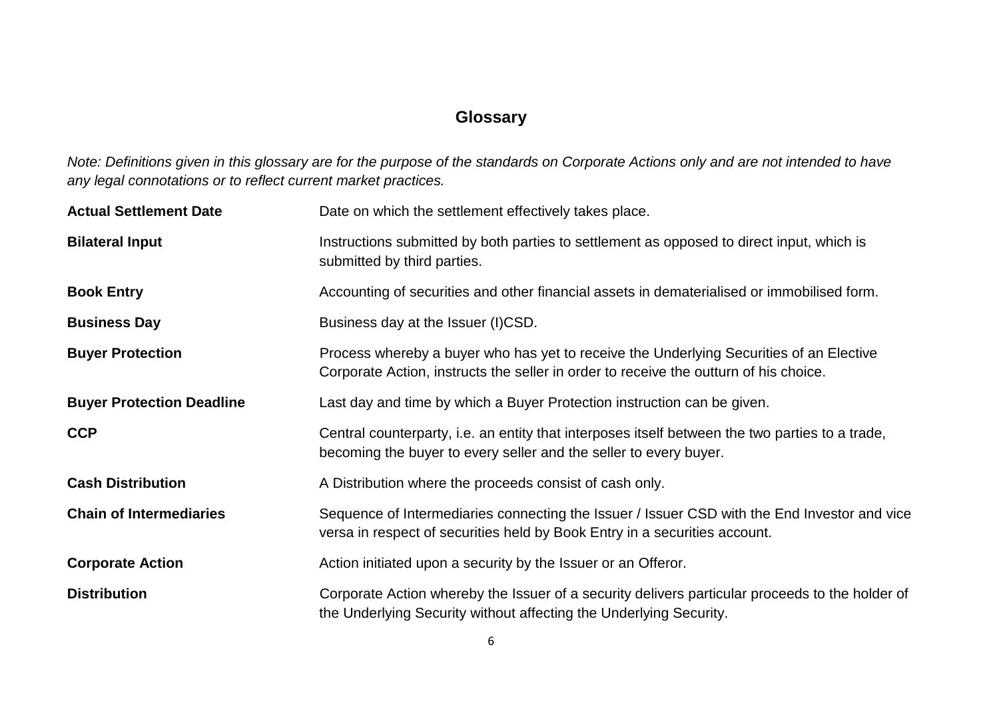# **Glossary**

*Note: Definitions given in this glossary are for the purpose of the standards on Corporate Actions only and are not intended to have any legal connotations or to reflect current market practices.*

| <b>Actual Settlement Date</b>    | Date on which the settlement effectively takes place.                                                                                                                            |  |  |
|----------------------------------|----------------------------------------------------------------------------------------------------------------------------------------------------------------------------------|--|--|
| <b>Bilateral Input</b>           | Instructions submitted by both parties to settlement as opposed to direct input, which is<br>submitted by third parties.                                                         |  |  |
| <b>Book Entry</b>                | Accounting of securities and other financial assets in dematerialised or immobilised form.                                                                                       |  |  |
| <b>Business Day</b>              | Business day at the Issuer (I)CSD.                                                                                                                                               |  |  |
| <b>Buyer Protection</b>          | Process whereby a buyer who has yet to receive the Underlying Securities of an Elective<br>Corporate Action, instructs the seller in order to receive the outturn of his choice. |  |  |
| <b>Buyer Protection Deadline</b> | Last day and time by which a Buyer Protection instruction can be given.                                                                                                          |  |  |
| <b>CCP</b>                       | Central counterparty, i.e. an entity that interposes itself between the two parties to a trade,<br>becoming the buyer to every seller and the seller to every buyer.             |  |  |
| <b>Cash Distribution</b>         | A Distribution where the proceeds consist of cash only.                                                                                                                          |  |  |
| <b>Chain of Intermediaries</b>   | Sequence of Intermediaries connecting the Issuer / Issuer CSD with the End Investor and vice<br>versa in respect of securities held by Book Entry in a securities account.       |  |  |
| <b>Corporate Action</b>          | Action initiated upon a security by the Issuer or an Offeror.                                                                                                                    |  |  |
| <b>Distribution</b>              | Corporate Action whereby the Issuer of a security delivers particular proceeds to the holder of<br>the Underlying Security without affecting the Underlying Security.            |  |  |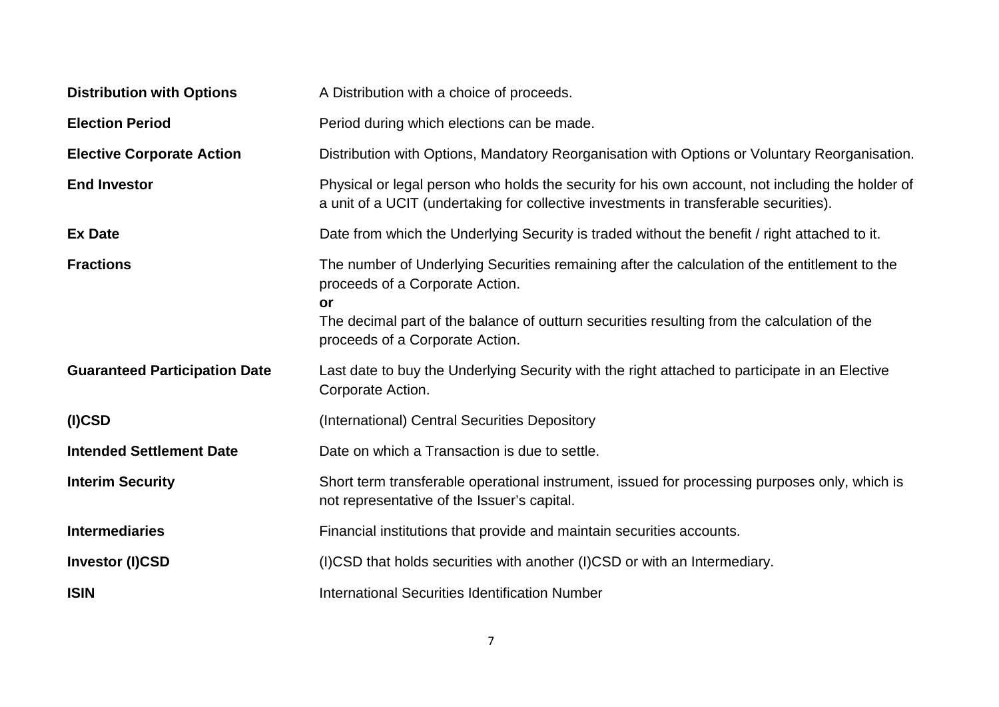| <b>Distribution with Options</b>     | A Distribution with a choice of proceeds.                                                                                                                                                 |  |  |
|--------------------------------------|-------------------------------------------------------------------------------------------------------------------------------------------------------------------------------------------|--|--|
| <b>Election Period</b>               | Period during which elections can be made.                                                                                                                                                |  |  |
| <b>Elective Corporate Action</b>     | Distribution with Options, Mandatory Reorganisation with Options or Voluntary Reorganisation.                                                                                             |  |  |
| <b>End Investor</b>                  | Physical or legal person who holds the security for his own account, not including the holder of<br>a unit of a UCIT (undertaking for collective investments in transferable securities). |  |  |
| <b>Ex Date</b>                       | Date from which the Underlying Security is traded without the benefit / right attached to it.                                                                                             |  |  |
| <b>Fractions</b>                     | The number of Underlying Securities remaining after the calculation of the entitlement to the<br>proceeds of a Corporate Action.<br><b>or</b>                                             |  |  |
|                                      | The decimal part of the balance of outturn securities resulting from the calculation of the<br>proceeds of a Corporate Action.                                                            |  |  |
| <b>Guaranteed Participation Date</b> | Last date to buy the Underlying Security with the right attached to participate in an Elective<br>Corporate Action.                                                                       |  |  |
| $(I)$ CSD                            | (International) Central Securities Depository                                                                                                                                             |  |  |
| <b>Intended Settlement Date</b>      | Date on which a Transaction is due to settle.                                                                                                                                             |  |  |
| <b>Interim Security</b>              | Short term transferable operational instrument, issued for processing purposes only, which is<br>not representative of the Issuer's capital.                                              |  |  |
| <b>Intermediaries</b>                | Financial institutions that provide and maintain securities accounts.                                                                                                                     |  |  |
| <b>Investor (I)CSD</b>               | (I)CSD that holds securities with another (I)CSD or with an Intermediary.                                                                                                                 |  |  |
| <b>ISIN</b>                          | <b>International Securities Identification Number</b>                                                                                                                                     |  |  |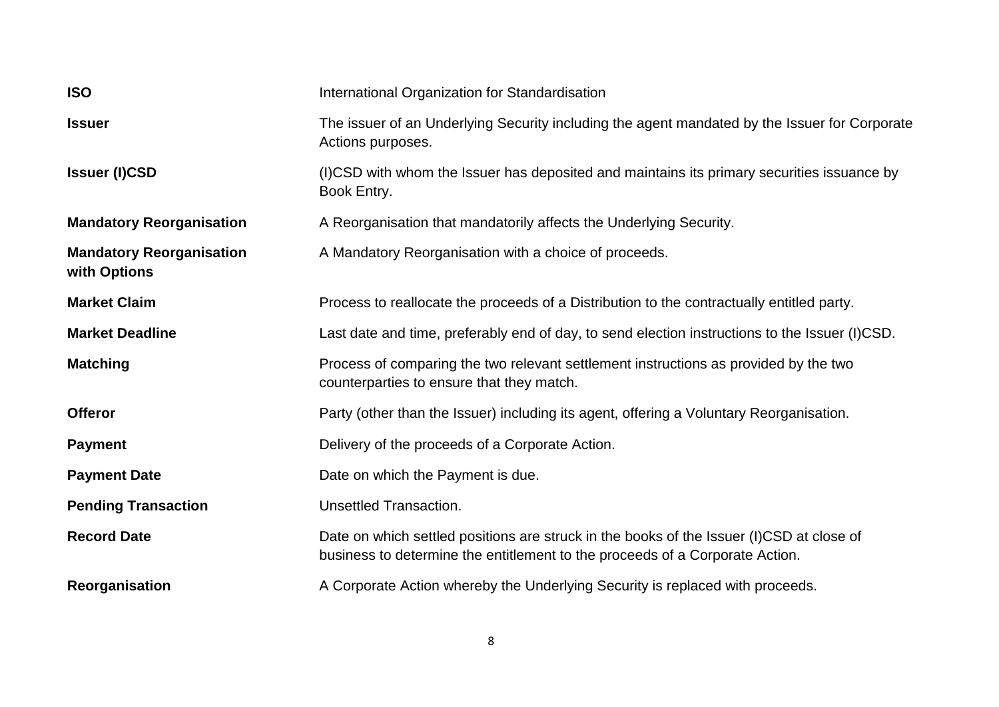| <b>ISO</b>                                      | International Organization for Standardisation                                                                                                                           |  |  |
|-------------------------------------------------|--------------------------------------------------------------------------------------------------------------------------------------------------------------------------|--|--|
| <b>Issuer</b>                                   | The issuer of an Underlying Security including the agent mandated by the Issuer for Corporate<br>Actions purposes.                                                       |  |  |
| <b>Issuer (I)CSD</b>                            | (I)CSD with whom the Issuer has deposited and maintains its primary securities issuance by<br>Book Entry.                                                                |  |  |
| <b>Mandatory Reorganisation</b>                 | A Reorganisation that mandatorily affects the Underlying Security.                                                                                                       |  |  |
| <b>Mandatory Reorganisation</b><br>with Options | A Mandatory Reorganisation with a choice of proceeds.                                                                                                                    |  |  |
| <b>Market Claim</b>                             | Process to reallocate the proceeds of a Distribution to the contractually entitled party.                                                                                |  |  |
| <b>Market Deadline</b>                          | Last date and time, preferably end of day, to send election instructions to the Issuer (I)CSD.                                                                           |  |  |
| <b>Matching</b>                                 | Process of comparing the two relevant settlement instructions as provided by the two<br>counterparties to ensure that they match.                                        |  |  |
| <b>Offeror</b>                                  | Party (other than the Issuer) including its agent, offering a Voluntary Reorganisation.                                                                                  |  |  |
| <b>Payment</b>                                  | Delivery of the proceeds of a Corporate Action.                                                                                                                          |  |  |
| <b>Payment Date</b>                             | Date on which the Payment is due.                                                                                                                                        |  |  |
| <b>Pending Transaction</b>                      | <b>Unsettled Transaction.</b>                                                                                                                                            |  |  |
| <b>Record Date</b>                              | Date on which settled positions are struck in the books of the Issuer (I)CSD at close of<br>business to determine the entitlement to the proceeds of a Corporate Action. |  |  |
| Reorganisation                                  | A Corporate Action whereby the Underlying Security is replaced with proceeds.                                                                                            |  |  |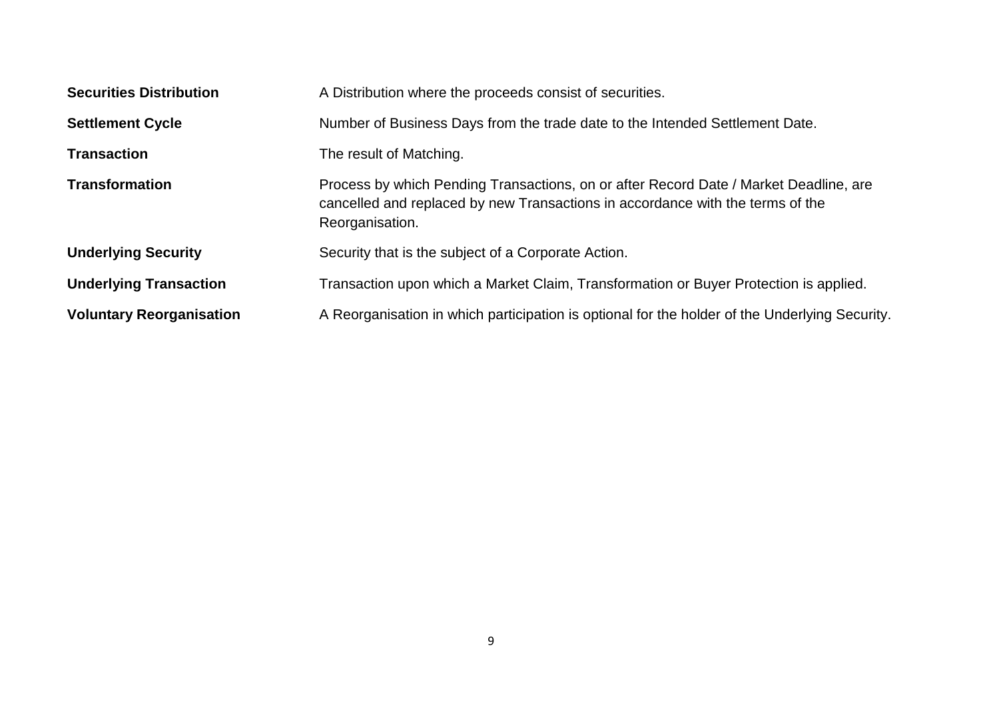| <b>Securities Distribution</b>  | A Distribution where the proceeds consist of securities.                                                                                                                                   |  |  |
|---------------------------------|--------------------------------------------------------------------------------------------------------------------------------------------------------------------------------------------|--|--|
| <b>Settlement Cycle</b>         | Number of Business Days from the trade date to the Intended Settlement Date.                                                                                                               |  |  |
| <b>Transaction</b>              | The result of Matching.                                                                                                                                                                    |  |  |
| <b>Transformation</b>           | Process by which Pending Transactions, on or after Record Date / Market Deadline, are<br>cancelled and replaced by new Transactions in accordance with the terms of the<br>Reorganisation. |  |  |
| <b>Underlying Security</b>      | Security that is the subject of a Corporate Action.                                                                                                                                        |  |  |
| <b>Underlying Transaction</b>   | Transaction upon which a Market Claim, Transformation or Buyer Protection is applied.                                                                                                      |  |  |
| <b>Voluntary Reorganisation</b> | A Reorganisation in which participation is optional for the holder of the Underlying Security.                                                                                             |  |  |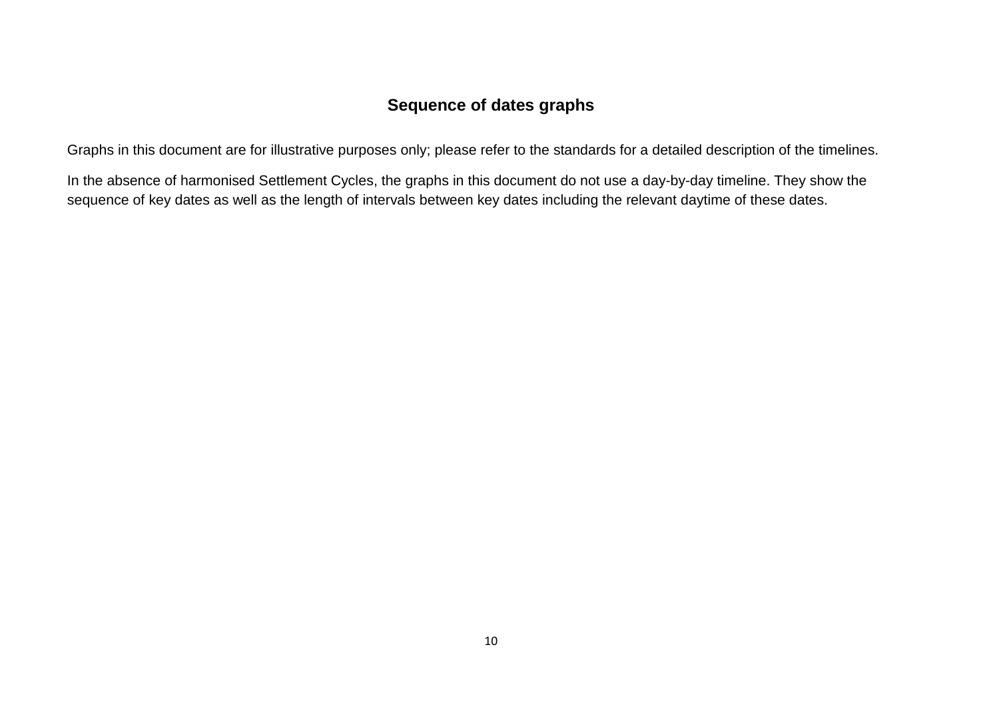# **Sequence of dates graphs**

Graphs in this document are for illustrative purposes only; please refer to the standards for a detailed description of the timelines.

In the absence of harmonised Settlement Cycles, the graphs in this document do not use a day-by-day timeline. They show the sequence of key dates as well as the length of intervals between key dates including the relevant daytime of these dates.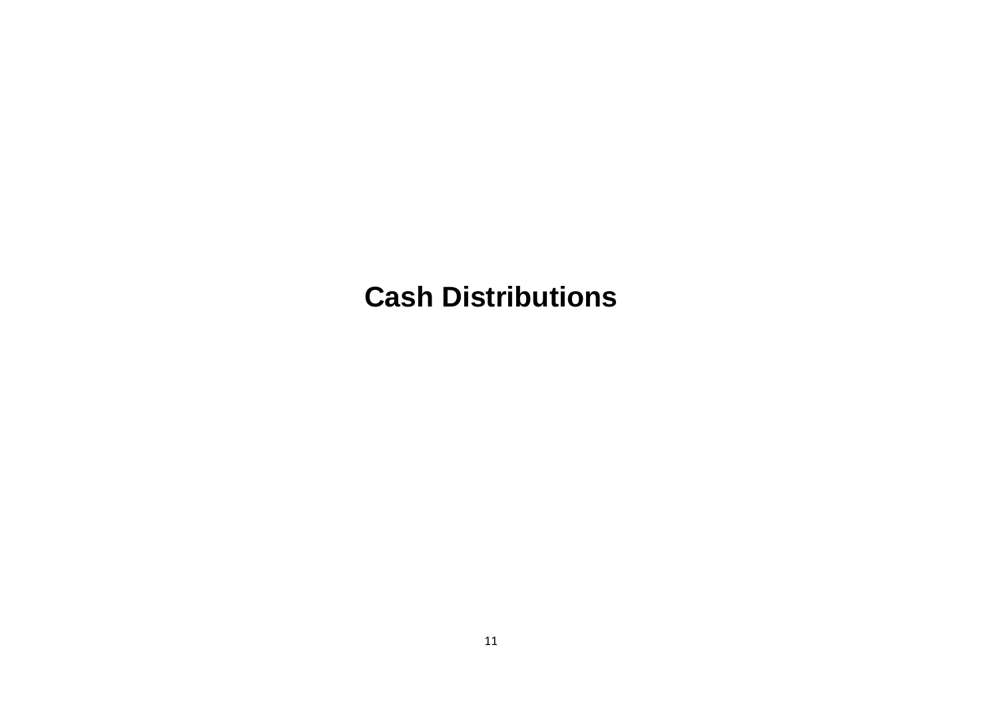# <span id="page-10-0"></span>**Cash Distributions**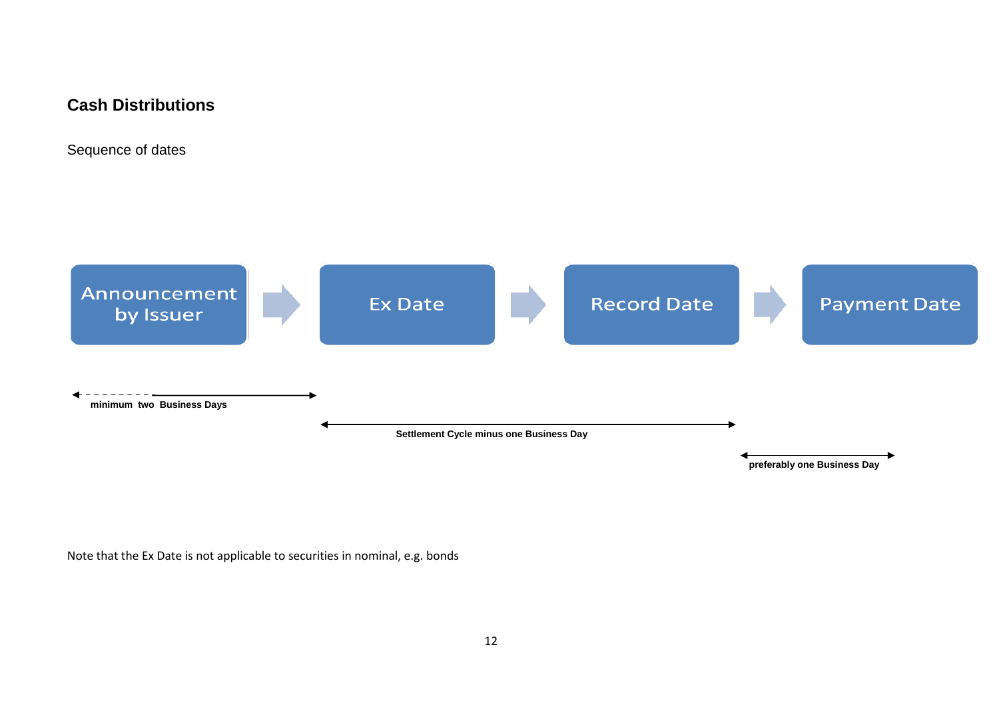# **Cash Distributions**

Sequence of dates



Note that the Ex Date is not applicable to securities in nominal, e.g. bonds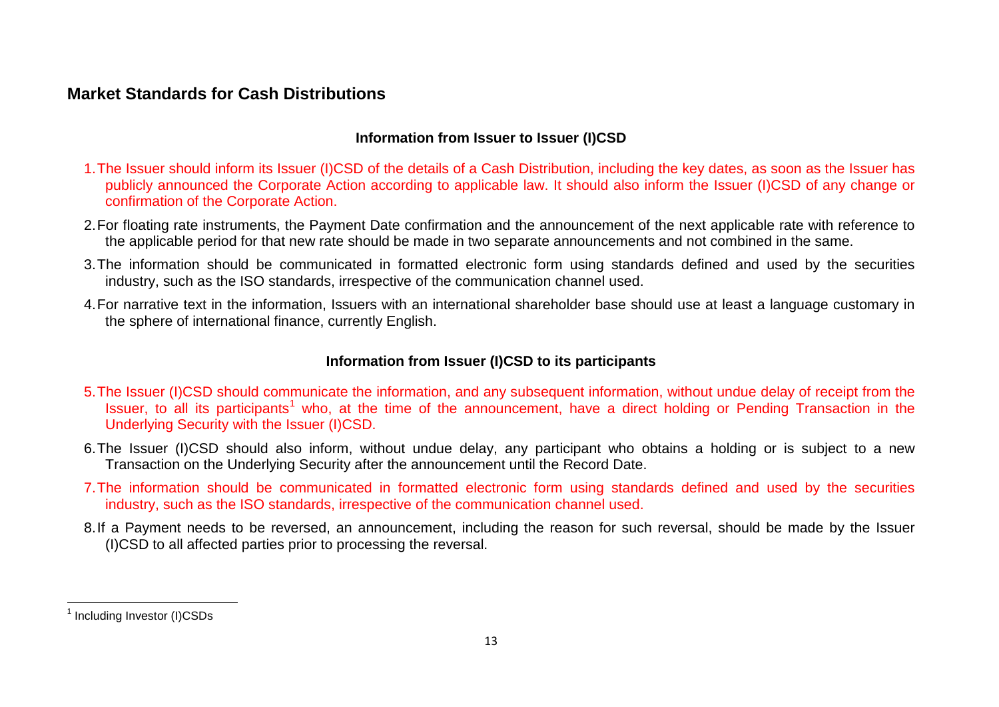# **Market Standards for Cash Distributions**

## <span id="page-12-0"></span>**Information from Issuer to Issuer (I)CSD**

- 1.The Issuer should inform its Issuer (I)CSD of the details of a Cash Distribution, including the key dates, as soon as the Issuer has publicly announced the Corporate Action according to applicable law. It should also inform the Issuer (I)CSD of any change or confirmation of the Corporate Action.
- 2.For floating rate instruments, the Payment Date confirmation and the announcement of the next applicable rate with reference to the applicable period for that new rate should be made in two separate announcements and not combined in the same.
- 3.The information should be communicated in formatted electronic form using standards defined and used by the securities industry, such as the ISO standards, irrespective of the communication channel used.
- 4.For narrative text in the information, Issuers with an international shareholder base should use at least a language customary in the sphere of international finance, currently English.

## **Information from Issuer (I)CSD to its participants**

- 5.The Issuer (I)CSD should communicate the information, and any subsequent information, without undue delay of receipt from the Issuer, to all its participants<sup>[1](#page-12-0)</sup> who, at the time of the announcement, have a direct holding or Pending Transaction in the Underlying Security with the Issuer (I)CSD.
- 6.The Issuer (I)CSD should also inform, without undue delay, any participant who obtains a holding or is subject to a new Transaction on the Underlying Security after the announcement until the Record Date.
- 7.The information should be communicated in formatted electronic form using standards defined and used by the securities industry, such as the ISO standards, irrespective of the communication channel used.
- 8.If a Payment needs to be reversed, an announcement, including the reason for such reversal, should be made by the Issuer (I)CSD to all affected parties prior to processing the reversal.

<sup>&</sup>lt;sup>1</sup> Including Investor (I)CSDs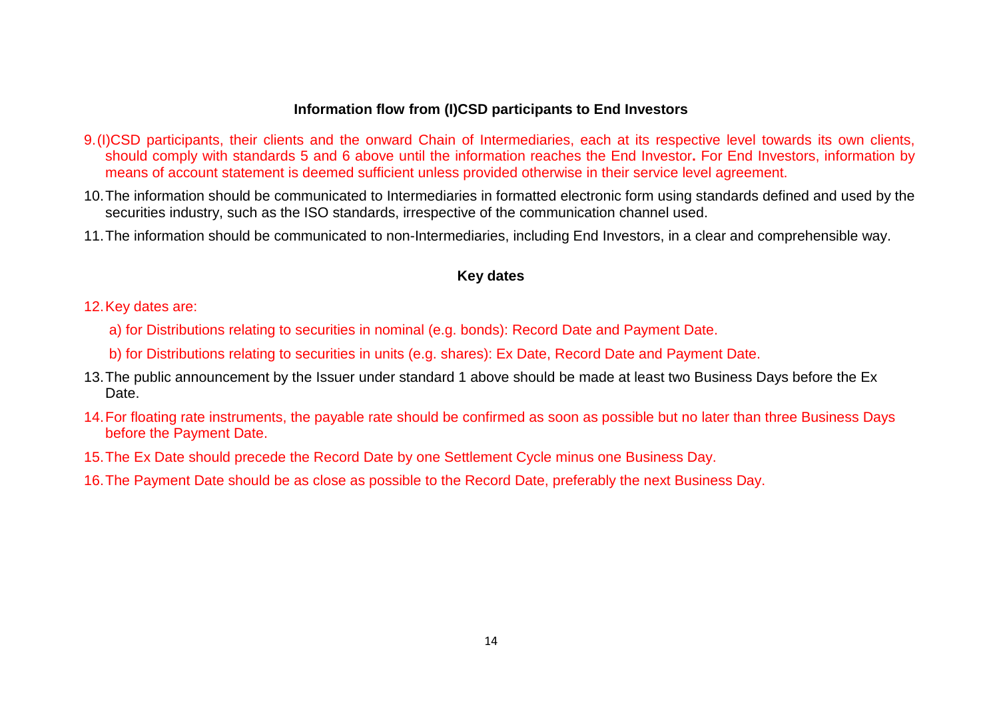### **Information flow from (I)CSD participants to End Investors**

- 9.(I)CSD participants, their clients and the onward Chain of Intermediaries, each at its respective level towards its own clients, should comply with standards 5 and 6 above until the information reaches the End Investor**.** For End Investors, information by means of account statement is deemed sufficient unless provided otherwise in their service level agreement.
- 10.The information should be communicated to Intermediaries in formatted electronic form using standards defined and used by the securities industry, such as the ISO standards, irrespective of the communication channel used.
- 11.The information should be communicated to non-Intermediaries, including End Investors, in a clear and comprehensible way.

#### **Key dates**

- 12.Key dates are:
	- a) for Distributions relating to securities in nominal (e.g. bonds): Record Date and Payment Date.
	- b) for Distributions relating to securities in units (e.g. shares): Ex Date, Record Date and Payment Date.
- 13.The public announcement by the Issuer under standard 1 above should be made at least two Business Days before the Ex Date.
- 14.For floating rate instruments, the payable rate should be confirmed as soon as possible but no later than three Business Days before the Payment Date.
- 15.The Ex Date should precede the Record Date by one Settlement Cycle minus one Business Day.
- 16.The Payment Date should be as close as possible to the Record Date, preferably the next Business Day.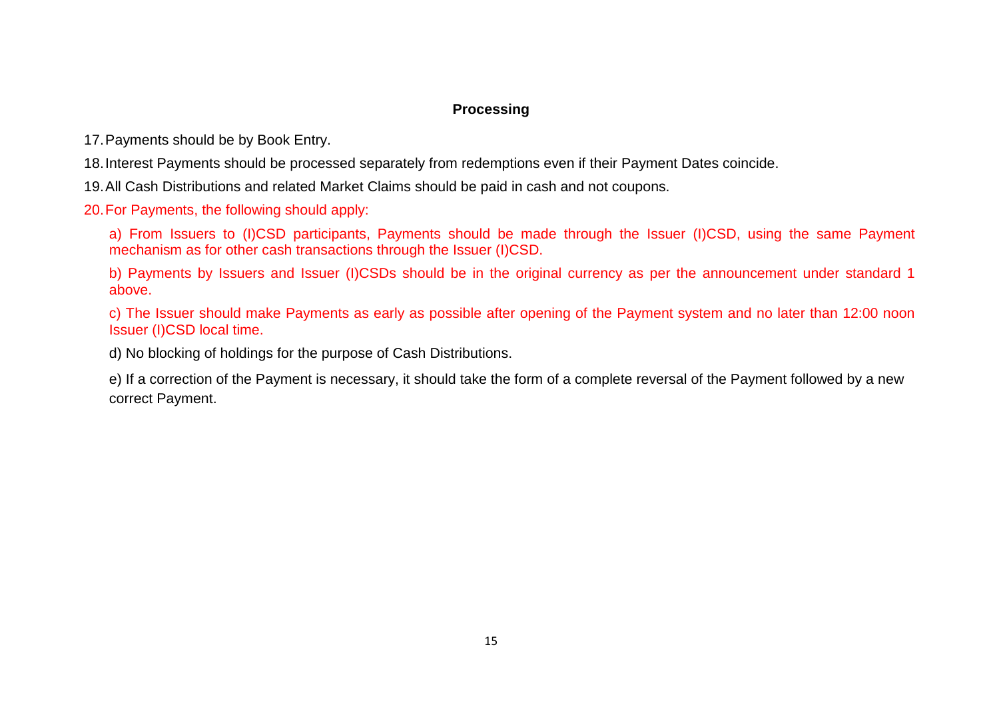## **Processing**

17.Payments should be by Book Entry.

18.Interest Payments should be processed separately from redemptions even if their Payment Dates coincide.

19.All Cash Distributions and related Market Claims should be paid in cash and not coupons.

20.For Payments, the following should apply:

a) From Issuers to (I)CSD participants, Payments should be made through the Issuer (I)CSD, using the same Payment mechanism as for other cash transactions through the Issuer (I)CSD.

b) Payments by Issuers and Issuer (I)CSDs should be in the original currency as per the announcement under standard 1 above.

c) The Issuer should make Payments as early as possible after opening of the Payment system and no later than 12:00 noon Issuer (I)CSD local time.

d) No blocking of holdings for the purpose of Cash Distributions.

e) If a correction of the Payment is necessary, it should take the form of a complete reversal of the Payment followed by a new correct Payment.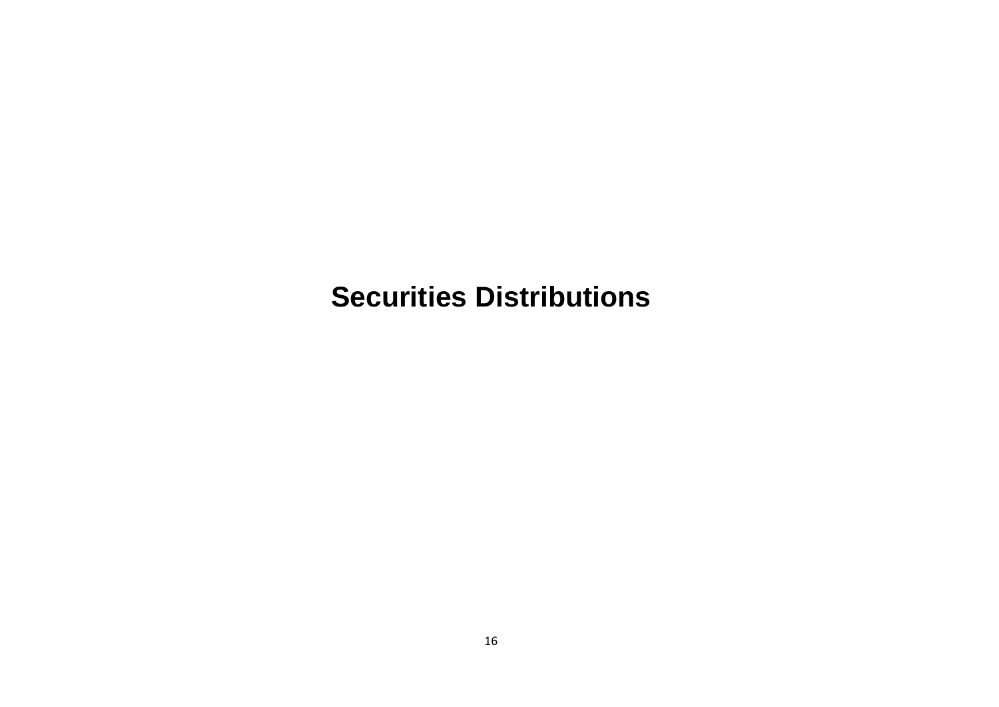# <span id="page-15-0"></span>**Securities Distributions**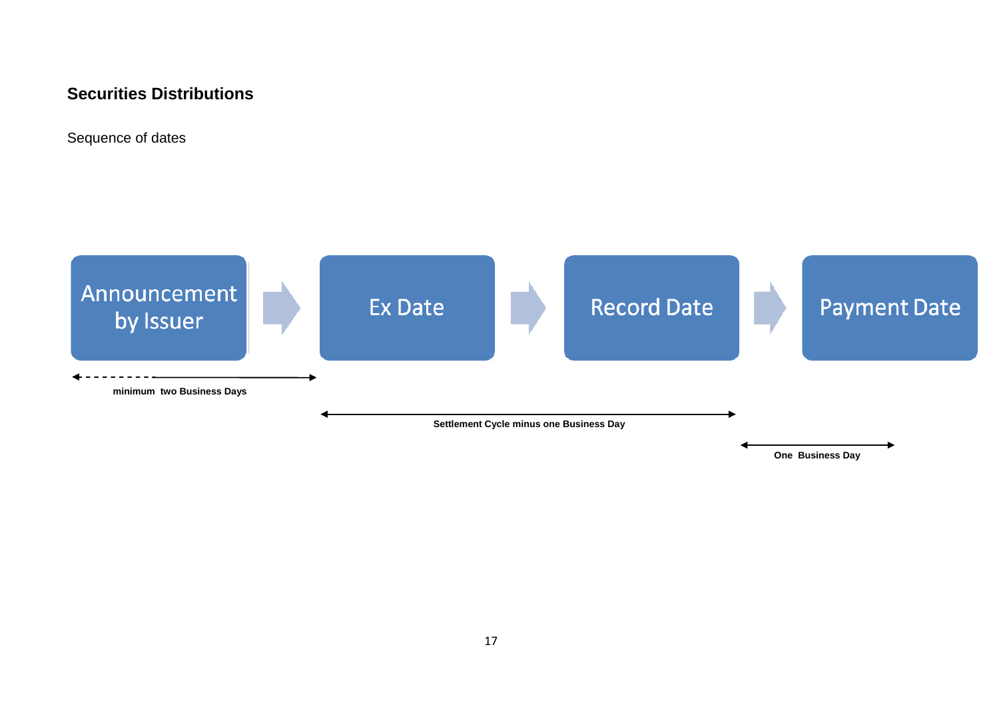# **Securities Distributions**

Sequence of dates

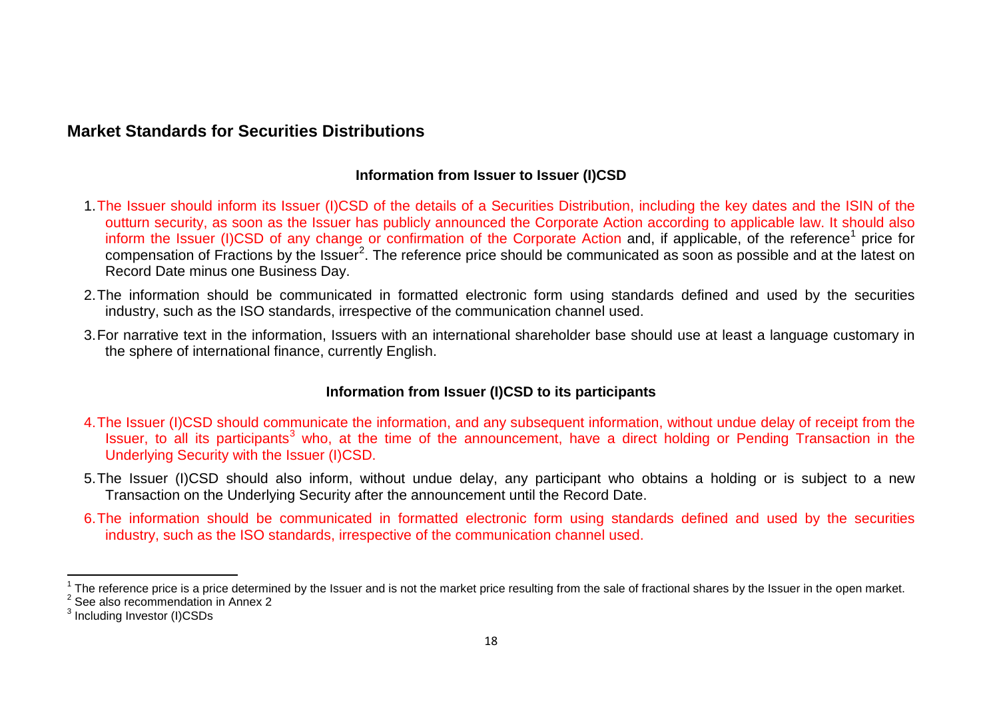# **Market Standards for Securities Distributions**

#### <span id="page-17-2"></span><span id="page-17-1"></span><span id="page-17-0"></span>**Information from Issuer to Issuer (I)CSD**

- 1.The Issuer should inform its Issuer (I)CSD of the details of a Securities Distribution, including the key dates and the ISIN of the outturn security, as soon as the Issuer has publicly announced the Corporate Action according to applicable law. It should also inform the Issuer (I)CSD of any change or confirmation of the Corporate Action and, if applicable, of the reference<sup>[1](#page-17-0)</sup> price for compensation of Fractions by the Issuer<sup>[2](#page-17-1)</sup>. The reference price should be communicated as soon as possible and at the latest on Record Date minus one Business Day.
- 2.The information should be communicated in formatted electronic form using standards defined and used by the securities industry, such as the ISO standards, irrespective of the communication channel used.
- 3.For narrative text in the information, Issuers with an international shareholder base should use at least a language customary in the sphere of international finance, currently English.

## **Information from Issuer (I)CSD to its participants**

- 4.The Issuer (I)CSD should communicate the information, and any subsequent information, without undue delay of receipt from the Issuer, to all its participants<sup>[3](#page-17-2)</sup> who, at the time of the announcement, have a direct holding or Pending Transaction in the Underlying Security with the Issuer (I)CSD.
- 5.The Issuer (I)CSD should also inform, without undue delay, any participant who obtains a holding or is subject to a new Transaction on the Underlying Security after the announcement until the Record Date.
- 6.The information should be communicated in formatted electronic form using standards defined and used by the securities industry, such as the ISO standards, irrespective of the communication channel used.

<sup>&</sup>lt;sup>1</sup> The reference price is a price determined by the Issuer and is not the market price resulting from the sale of fractional shares by the Issuer in the open market.<br><sup>2</sup> See also recommendation in Annex 2

<sup>&</sup>lt;sup>3</sup> Including Investor (I)CSDs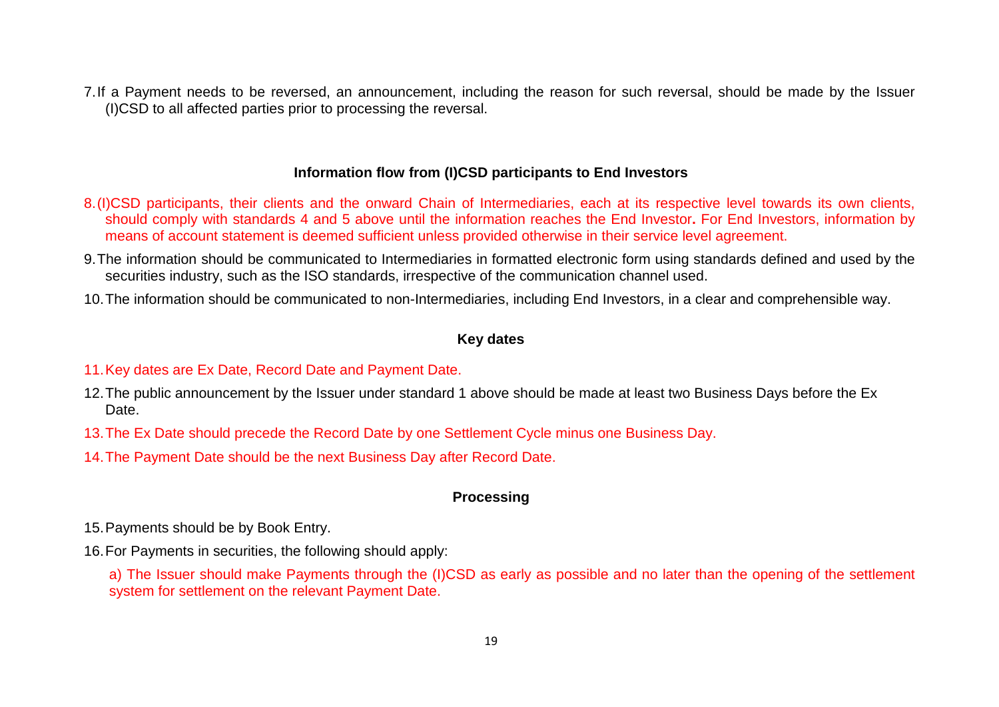7.If a Payment needs to be reversed, an announcement, including the reason for such reversal, should be made by the Issuer (I)CSD to all affected parties prior to processing the reversal.

### **Information flow from (I)CSD participants to End Investors**

- 8.(I)CSD participants, their clients and the onward Chain of Intermediaries, each at its respective level towards its own clients, should comply with standards 4 and 5 above until the information reaches the End Investor**.** For End Investors, information by means of account statement is deemed sufficient unless provided otherwise in their service level agreement.
- 9.The information should be communicated to Intermediaries in formatted electronic form using standards defined and used by the securities industry, such as the ISO standards, irrespective of the communication channel used.
- 10.The information should be communicated to non-Intermediaries, including End Investors, in a clear and comprehensible way.

#### **Key dates**

#### 11.Key dates are Ex Date, Record Date and Payment Date.

- 12.The public announcement by the Issuer under standard 1 above should be made at least two Business Days before the Ex Date.
- 13.The Ex Date should precede the Record Date by one Settlement Cycle minus one Business Day.
- 14.The Payment Date should be the next Business Day after Record Date.

#### **Processing**

- 15.Payments should be by Book Entry.
- 16.For Payments in securities, the following should apply:
	- a) The Issuer should make Payments through the (I)CSD as early as possible and no later than the opening of the settlement system for settlement on the relevant Payment Date.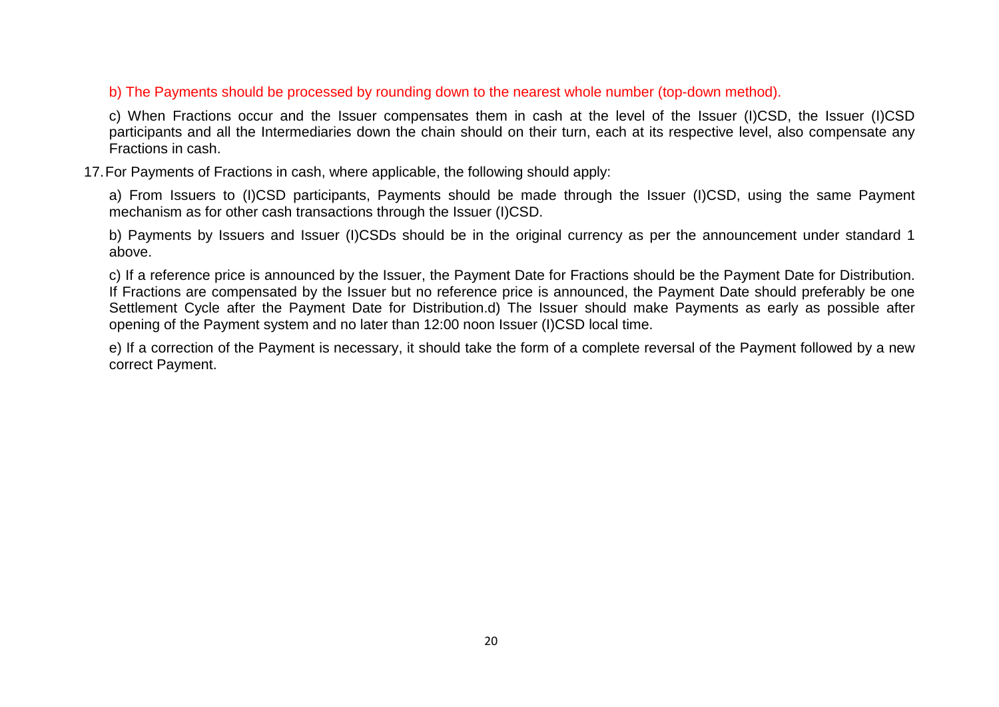b) The Payments should be processed by rounding down to the nearest whole number (top-down method).

c) When Fractions occur and the Issuer compensates them in cash at the level of the Issuer (I)CSD, the Issuer (I)CSD participants and all the Intermediaries down the chain should on their turn, each at its respective level, also compensate any Fractions in cash.

17.For Payments of Fractions in cash, where applicable, the following should apply:

a) From Issuers to (I)CSD participants, Payments should be made through the Issuer (I)CSD, using the same Payment mechanism as for other cash transactions through the Issuer (I)CSD.

b) Payments by Issuers and Issuer (I)CSDs should be in the original currency as per the announcement under standard 1 above.

c) If a reference price is announced by the Issuer, the Payment Date for Fractions should be the Payment Date for Distribution. If Fractions are compensated by the Issuer but no reference price is announced, the Payment Date should preferably be one Settlement Cycle after the Payment Date for Distribution.d) The Issuer should make Payments as early as possible after opening of the Payment system and no later than 12:00 noon Issuer (I)CSD local time.

e) If a correction of the Payment is necessary, it should take the form of a complete reversal of the Payment followed by a new correct Payment.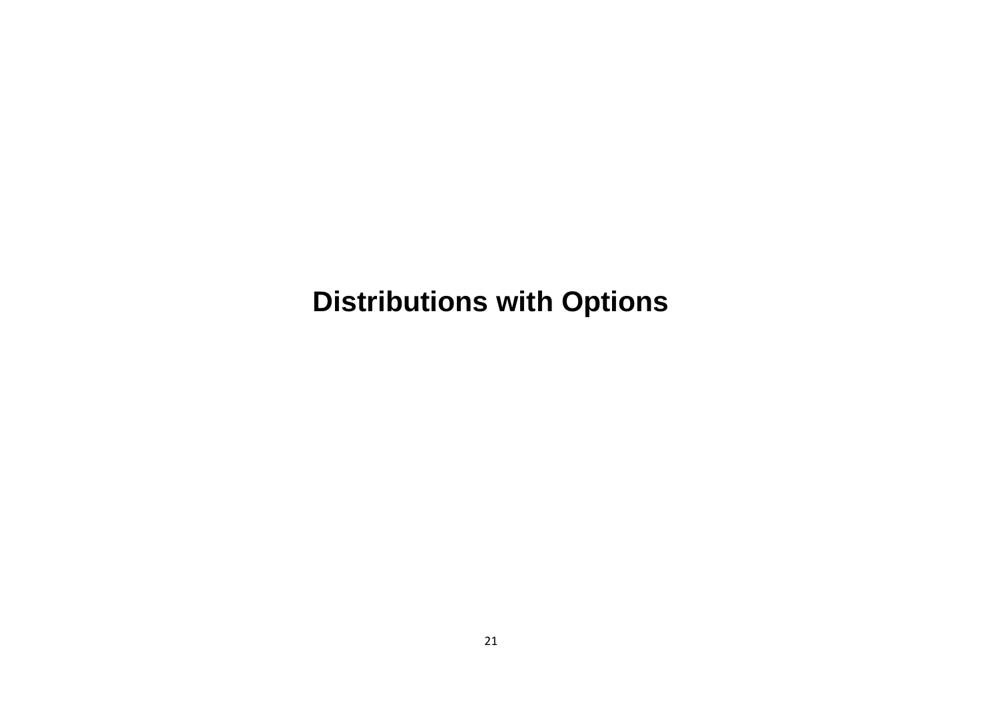# <span id="page-20-0"></span>**Distributions with Options**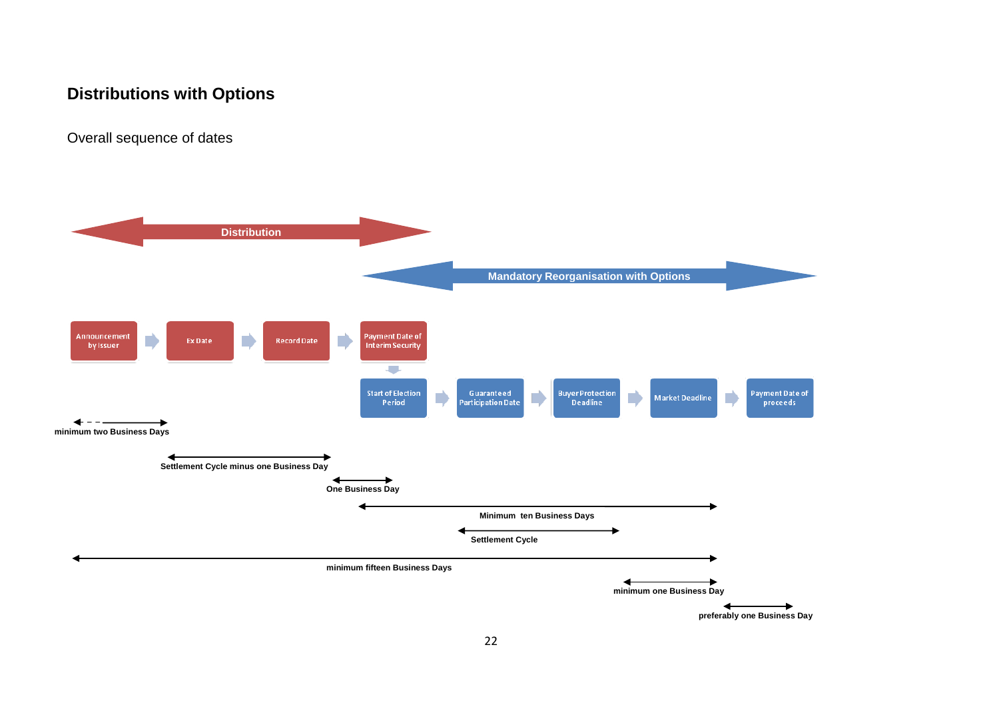# **Distributions with Options**

Overall sequence of dates



**preferably one Business Day**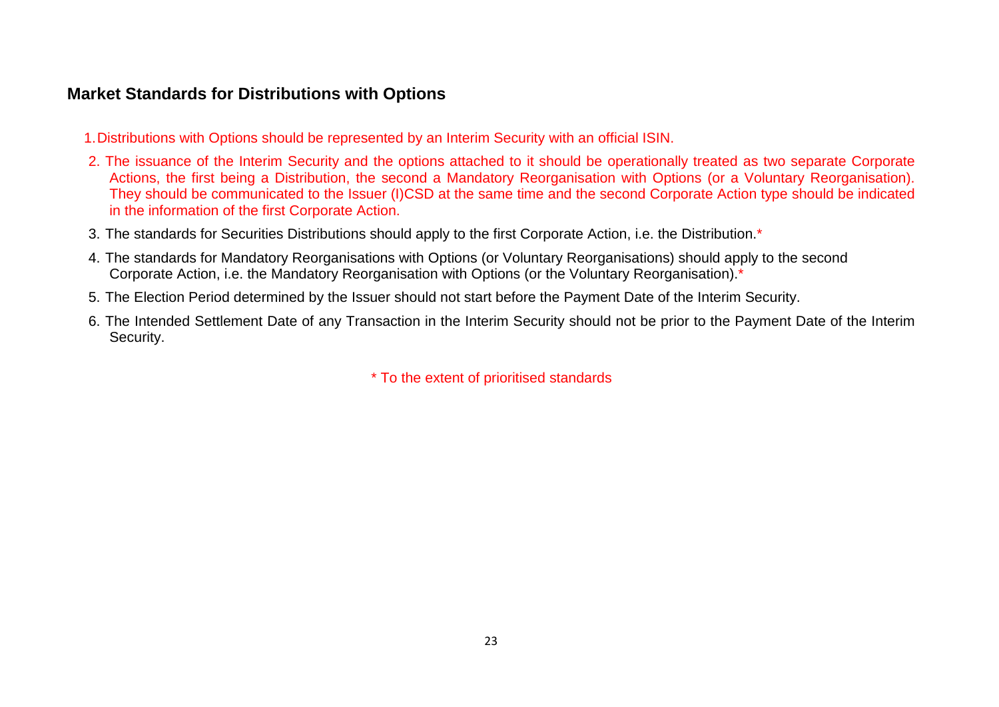# **Market Standards for Distributions with Options**

- 1.Distributions with Options should be represented by an Interim Security with an official ISIN.
- 2. The issuance of the Interim Security and the options attached to it should be operationally treated as two separate Corporate Actions, the first being a Distribution, the second a Mandatory Reorganisation with Options (or a Voluntary Reorganisation). They should be communicated to the Issuer (I)CSD at the same time and the second Corporate Action type should be indicated in the information of the first Corporate Action.
- 3. The standards for Securities Distributions should apply to the first Corporate Action, i.e. the Distribution.\*
- 4. The standards for Mandatory Reorganisations with Options (or Voluntary Reorganisations) should apply to the second Corporate Action, i.e. the Mandatory Reorganisation with Options (or the Voluntary Reorganisation).\*
- 5. The Election Period determined by the Issuer should not start before the Payment Date of the Interim Security.
- 6. The Intended Settlement Date of any Transaction in the Interim Security should not be prior to the Payment Date of the Interim Security.

\* To the extent of prioritised standards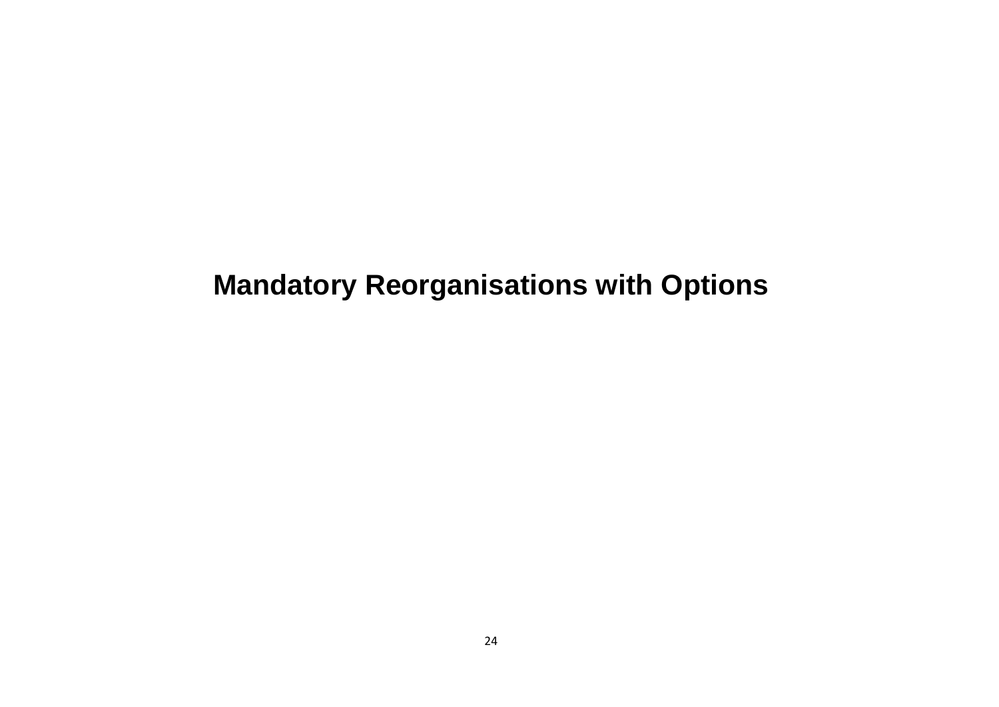# <span id="page-23-0"></span>**Mandatory Reorganisations with Options**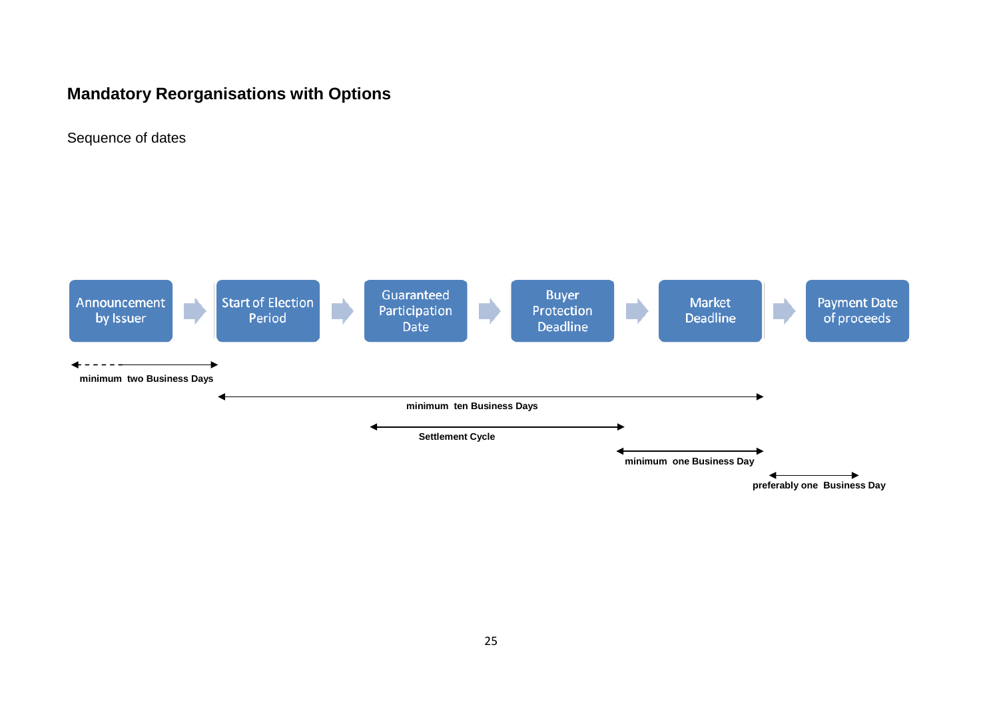# **Mandatory Reorganisations with Options**

Sequence of dates

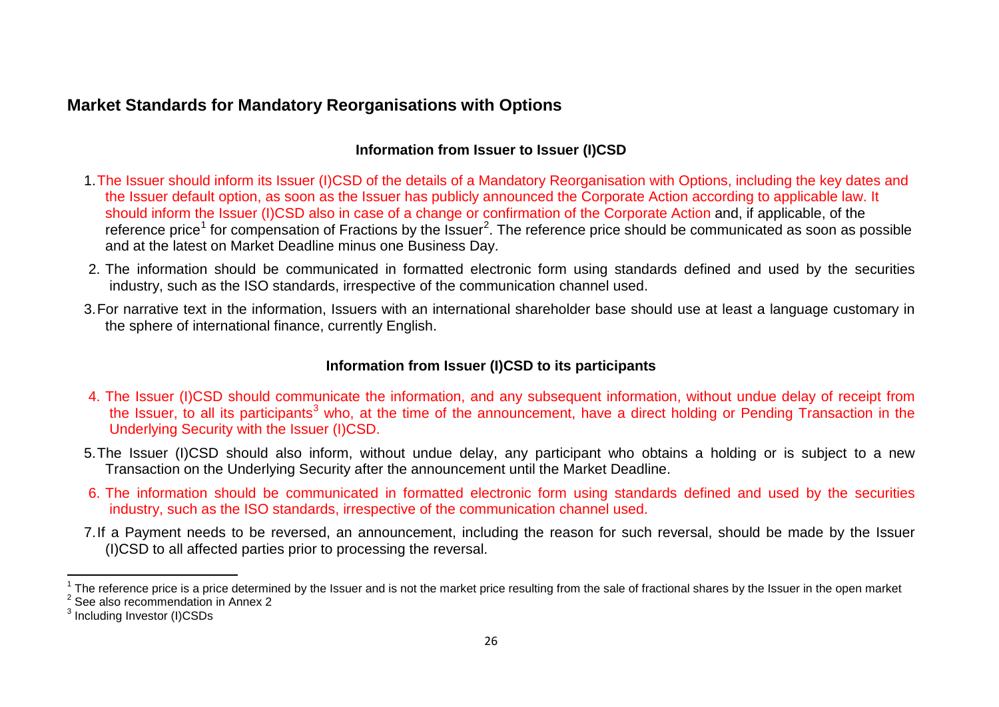# **Market Standards for Mandatory Reorganisations with Options**

# <span id="page-25-2"></span><span id="page-25-1"></span><span id="page-25-0"></span>**Information from Issuer to Issuer (I)CSD**

- 1.The Issuer should inform its Issuer (I)CSD of the details of a Mandatory Reorganisation with Options, including the key dates and the Issuer default option, as soon as the Issuer has publicly announced the Corporate Action according to applicable law. It should inform the Issuer (I)CSD also in case of a change or confirmation of the Corporate Action and, if applicable, of the reference price<sup>[1](#page-25-0)</sup> for compensation of Fractions by the Issuer<sup>[2](#page-25-1)</sup>. The reference price should be communicated as soon as possible and at the latest on Market Deadline minus one Business Day.
- 2. The information should be communicated in formatted electronic form using standards defined and used by the securities industry, such as the ISO standards, irrespective of the communication channel used.
- 3.For narrative text in the information, Issuers with an international shareholder base should use at least a language customary in the sphere of international finance, currently English.

## **Information from Issuer (I)CSD to its participants**

- 4. The Issuer (I)CSD should communicate the information, and any subsequent information, without undue delay of receipt from the Issuer, to all its participants<sup>[3](#page-25-2)</sup> who, at the time of the announcement, have a direct holding or Pending Transaction in the Underlying Security with the Issuer (I)CSD.
- 5.The Issuer (I)CSD should also inform, without undue delay, any participant who obtains a holding or is subject to a new Transaction on the Underlying Security after the announcement until the Market Deadline.
- 6. The information should be communicated in formatted electronic form using standards defined and used by the securities industry, such as the ISO standards, irrespective of the communication channel used.
- 7.If a Payment needs to be reversed, an announcement, including the reason for such reversal, should be made by the Issuer (I)CSD to all affected parties prior to processing the reversal.

<sup>&</sup>lt;sup>1</sup> The reference price is a price determined by the Issuer and is not the market price resulting from the sale of fractional shares by the Issuer in the open market  $2^2$  See also recommendation in Annex 2

<sup>&</sup>lt;sup>3</sup> Including Investor (I)CSDs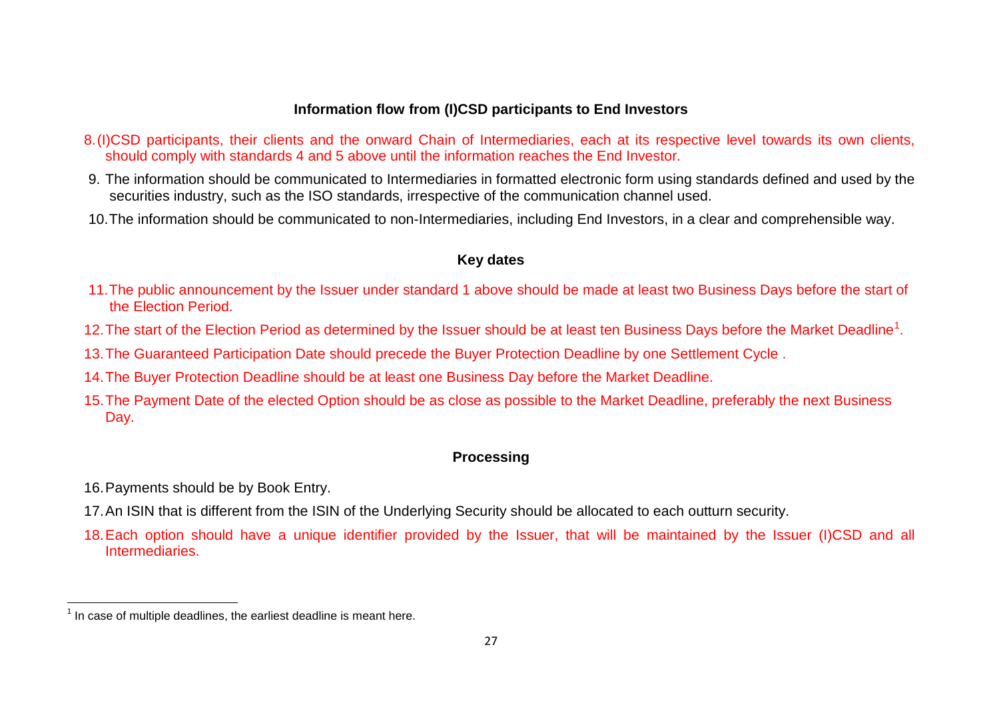## <span id="page-26-0"></span>**Information flow from (I)CSD participants to End Investors**

- 8.(I)CSD participants, their clients and the onward Chain of Intermediaries, each at its respective level towards its own clients, should comply with standards 4 and 5 above until the information reaches the End Investor.
- 9. The information should be communicated to Intermediaries in formatted electronic form using standards defined and used by the securities industry, such as the ISO standards, irrespective of the communication channel used.
- 10.The information should be communicated to non-Intermediaries, including End Investors, in a clear and comprehensible way.

## **Key dates**

- 11.The public announcement by the Issuer under standard 1 above should be made at least two Business Days before the start of the Election Period.
- [1](#page-26-0)2. The start of the Election Period as determined by the Issuer should be at least ten Business Days before the Market Deadline<sup>1</sup>.
- 13.The Guaranteed Participation Date should precede the Buyer Protection Deadline by one Settlement Cycle .
- 14.The Buyer Protection Deadline should be at least one Business Day before the Market Deadline.
- 15.The Payment Date of the elected Option should be as close as possible to the Market Deadline, preferably the next Business Day.

# **Processing**

- 16.Payments should be by Book Entry.
- 17.An ISIN that is different from the ISIN of the Underlying Security should be allocated to each outturn security.
- 18.Each option should have a unique identifier provided by the Issuer, that will be maintained by the Issuer (I)CSD and all **Intermediaries**

 $1$  In case of multiple deadlines, the earliest deadline is meant here.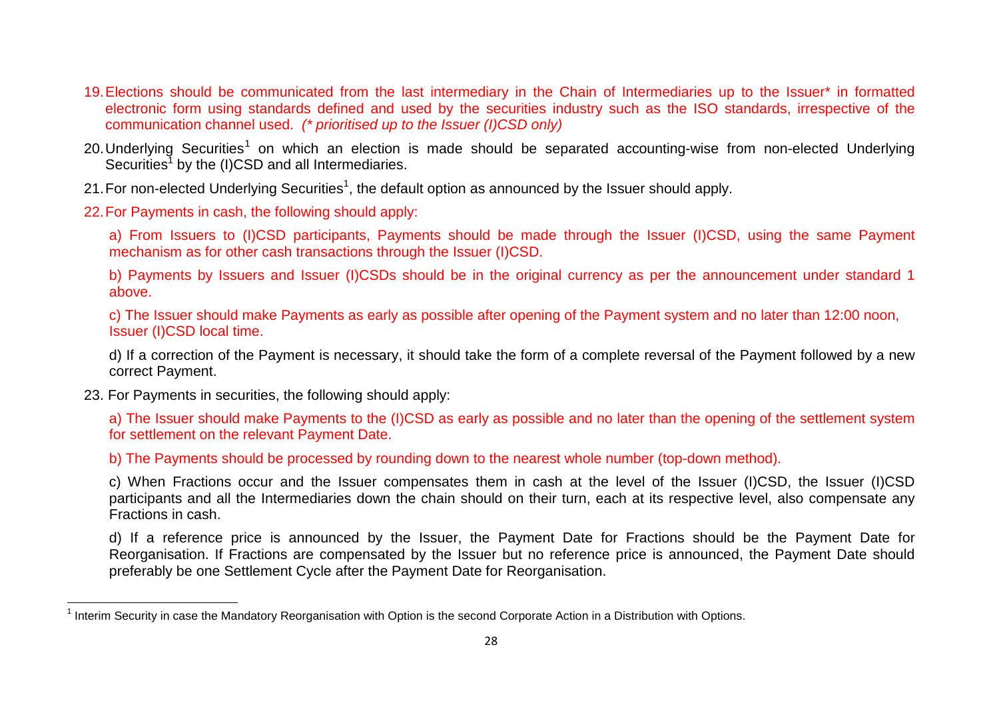- <span id="page-27-0"></span>19.Elections should be communicated from the last intermediary in the Chain of Intermediaries up to the Issuer\* in formatted electronic form using standards defined and used by the securities industry such as the ISO standards, irrespective of the communication channel used. *(\* prioritised up to the Issuer (I)CSD only)*
- 20. Underlying Securities<sup>[1](#page-27-0)</sup> on which an election is made should be separated accounting-wise from non-elected Underlying Securities<sup>1</sup> by the (I)CSD and all Intermediaries.
- 21. For non-elected Underlying Securities<sup>1</sup>, the default option as announced by the Issuer should apply.
- 22.For Payments in cash, the following should apply:

a) From Issuers to (I)CSD participants, Payments should be made through the Issuer (I)CSD, using the same Payment mechanism as for other cash transactions through the Issuer (I)CSD.

b) Payments by Issuers and Issuer (I)CSDs should be in the original currency as per the announcement under standard 1 above.

c) The Issuer should make Payments as early as possible after opening of the Payment system and no later than 12:00 noon, Issuer (I)CSD local time.

d) If a correction of the Payment is necessary, it should take the form of a complete reversal of the Payment followed by a new correct Payment.

23. For Payments in securities, the following should apply:

a) The Issuer should make Payments to the (I)CSD as early as possible and no later than the opening of the settlement system for settlement on the relevant Payment Date.

b) The Payments should be processed by rounding down to the nearest whole number (top-down method).

c) When Fractions occur and the Issuer compensates them in cash at the level of the Issuer (I)CSD, the Issuer (I)CSD participants and all the Intermediaries down the chain should on their turn, each at its respective level, also compensate any Fractions in cash.

d) If a reference price is announced by the Issuer, the Payment Date for Fractions should be the Payment Date for Reorganisation. If Fractions are compensated by the Issuer but no reference price is announced, the Payment Date should preferably be one Settlement Cycle after the Payment Date for Reorganisation.

 $1$  Interim Security in case the Mandatory Reorganisation with Option is the second Corporate Action in a Distribution with Options.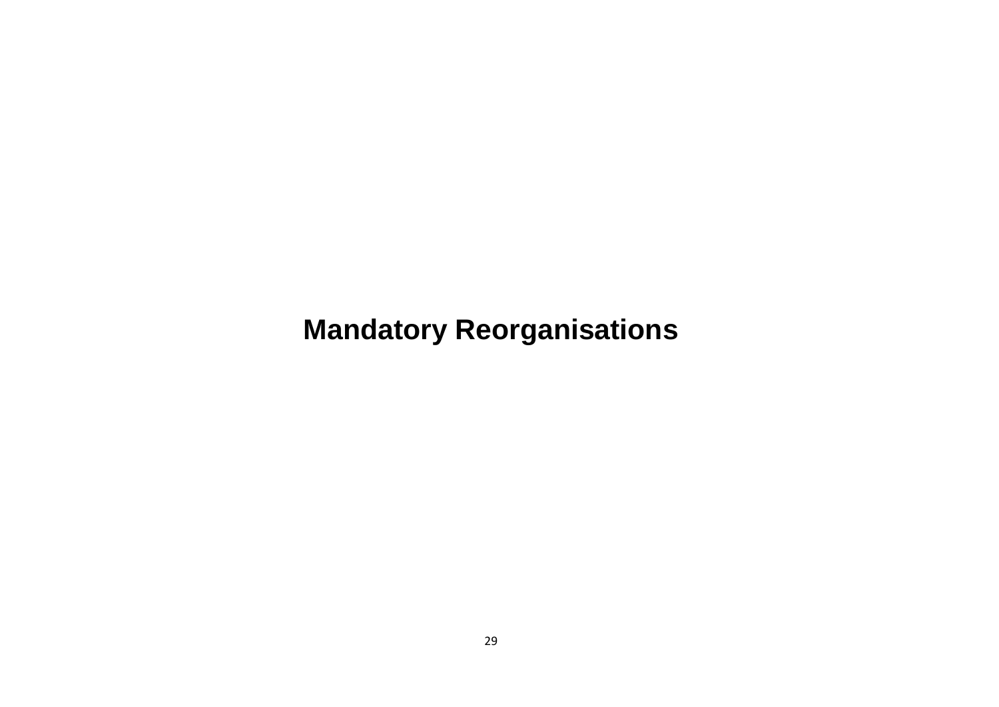# **Mandatory Reorganisations**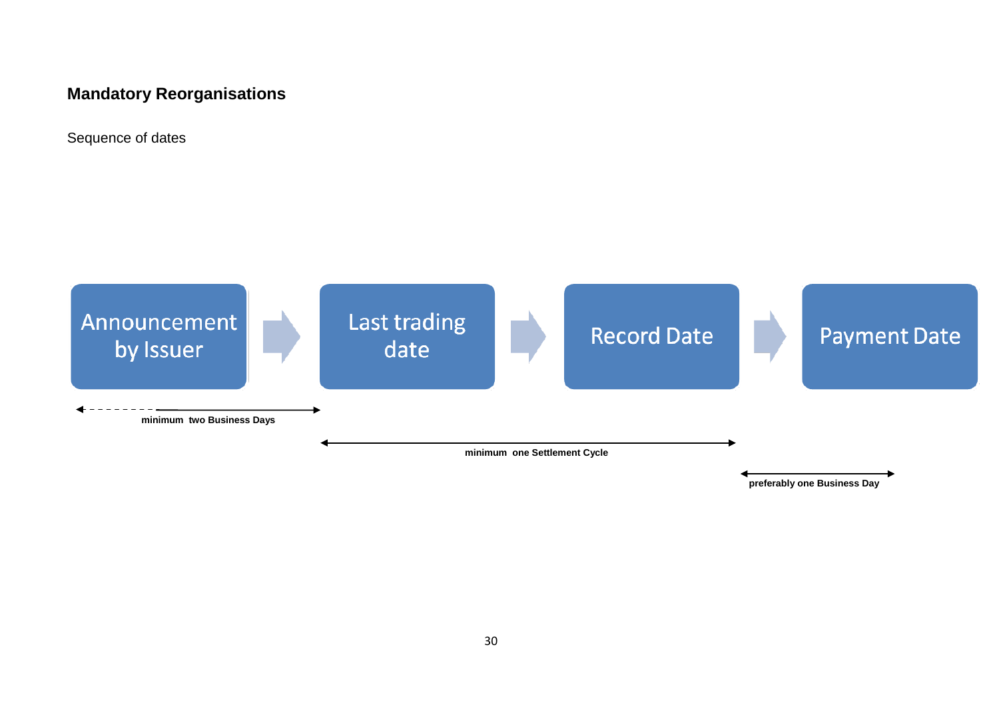# **Mandatory Reorganisations**

Sequence of dates



30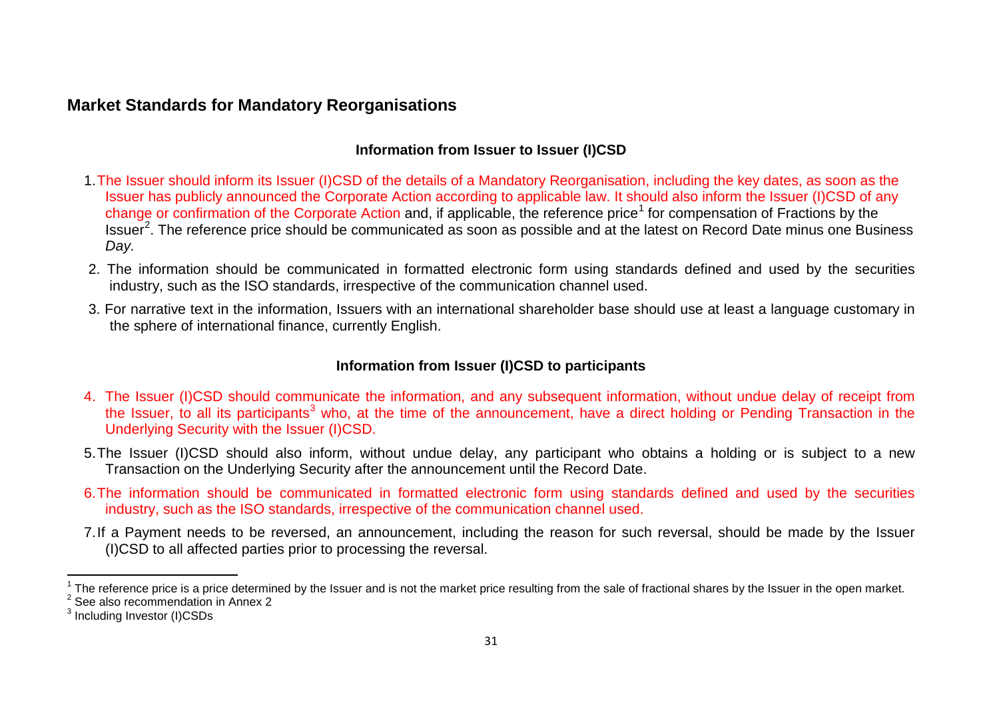# **Market Standards for Mandatory Reorganisations**

## <span id="page-30-2"></span><span id="page-30-1"></span><span id="page-30-0"></span>**Information from Issuer to Issuer (I)CSD**

- 1.The Issuer should inform its Issuer (I)CSD of the details of a Mandatory Reorganisation, including the key dates, as soon as the Issuer has publicly announced the Corporate Action according to applicable law. It should also inform the Issuer (I)CSD of any change or confirmation of the Corporate Action and, if applicable, the reference price<sup>[1](#page-30-0)</sup> for compensation of Fractions by the Issuer<sup>[2](#page-30-1)</sup>. The reference price should be communicated as soon as possible and at the latest on Record Date minus one Business *Day.*
- 2. The information should be communicated in formatted electronic form using standards defined and used by the securities industry, such as the ISO standards, irrespective of the communication channel used.
- 3. For narrative text in the information, Issuers with an international shareholder base should use at least a language customary in the sphere of international finance, currently English.

# **Information from Issuer (I)CSD to participants**

- 4. The Issuer (I)CSD should communicate the information, and any subsequent information, without undue delay of receipt from the Issuer, to all its participants<sup>[3](#page-30-2)</sup> who, at the time of the announcement, have a direct holding or Pending Transaction in the Underlying Security with the Issuer (I)CSD.
- 5.The Issuer (I)CSD should also inform, without undue delay, any participant who obtains a holding or is subject to a new Transaction on the Underlying Security after the announcement until the Record Date.
- 6.The information should be communicated in formatted electronic form using standards defined and used by the securities industry, such as the ISO standards, irrespective of the communication channel used.
- 7.If a Payment needs to be reversed, an announcement, including the reason for such reversal, should be made by the Issuer (I)CSD to all affected parties prior to processing the reversal.

<sup>1</sup> The reference price is a price determined by the Issuer and is not the market price resulting from the sale of fractional shares by the Issuer in the open market.<br><sup>2</sup> See also recommendation in Annex 2

<sup>&</sup>lt;sup>3</sup> Including Investor (I)CSDs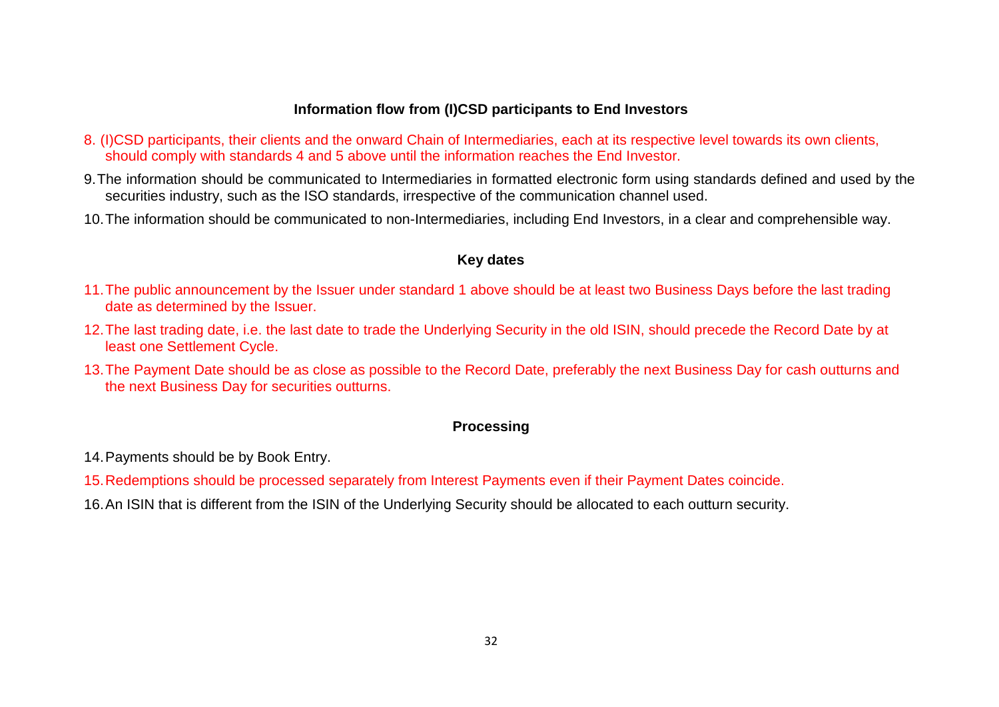### **Information flow from (I)CSD participants to End Investors**

- 8. (I)CSD participants, their clients and the onward Chain of Intermediaries, each at its respective level towards its own clients, should comply with standards 4 and 5 above until the information reaches the End Investor.
- 9.The information should be communicated to Intermediaries in formatted electronic form using standards defined and used by the securities industry, such as the ISO standards, irrespective of the communication channel used.
- 10.The information should be communicated to non-Intermediaries, including End Investors, in a clear and comprehensible way.

#### **Key dates**

- 11.The public announcement by the Issuer under standard 1 above should be at least two Business Days before the last trading date as determined by the Issuer.
- 12.The last trading date, i.e. the last date to trade the Underlying Security in the old ISIN, should precede the Record Date by at least one Settlement Cycle.
- 13.The Payment Date should be as close as possible to the Record Date, preferably the next Business Day for cash outturns and the next Business Day for securities outturns.

## **Processing**

14.Payments should be by Book Entry.

15.Redemptions should be processed separately from Interest Payments even if their Payment Dates coincide.

16.An ISIN that is different from the ISIN of the Underlying Security should be allocated to each outturn security.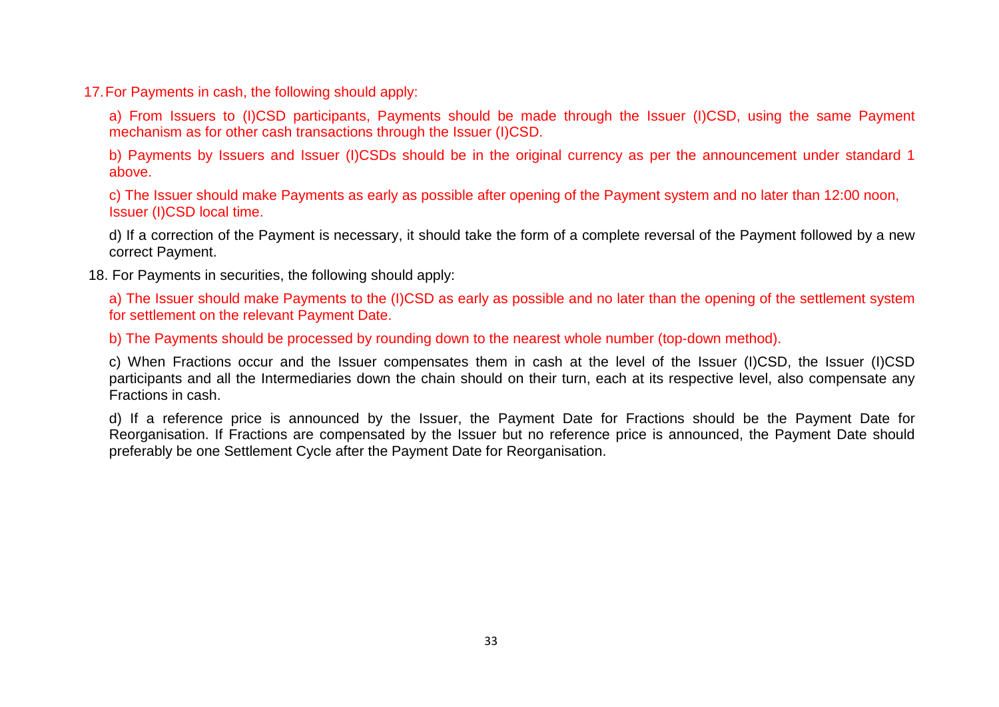17.For Payments in cash, the following should apply:

a) From Issuers to (I)CSD participants, Payments should be made through the Issuer (I)CSD, using the same Payment mechanism as for other cash transactions through the Issuer (I)CSD.

b) Payments by Issuers and Issuer (I)CSDs should be in the original currency as per the announcement under standard 1 above.

c) The Issuer should make Payments as early as possible after opening of the Payment system and no later than 12:00 noon, Issuer (I)CSD local time.

d) If a correction of the Payment is necessary, it should take the form of a complete reversal of the Payment followed by a new correct Payment.

18. For Payments in securities, the following should apply:

a) The Issuer should make Payments to the (I)CSD as early as possible and no later than the opening of the settlement system for settlement on the relevant Payment Date.

b) The Payments should be processed by rounding down to the nearest whole number (top-down method).

c) When Fractions occur and the Issuer compensates them in cash at the level of the Issuer (I)CSD, the Issuer (I)CSD participants and all the Intermediaries down the chain should on their turn, each at its respective level, also compensate any Fractions in cash.

d) If a reference price is announced by the Issuer, the Payment Date for Fractions should be the Payment Date for Reorganisation. If Fractions are compensated by the Issuer but no reference price is announced, the Payment Date should preferably be one Settlement Cycle after the Payment Date for Reorganisation.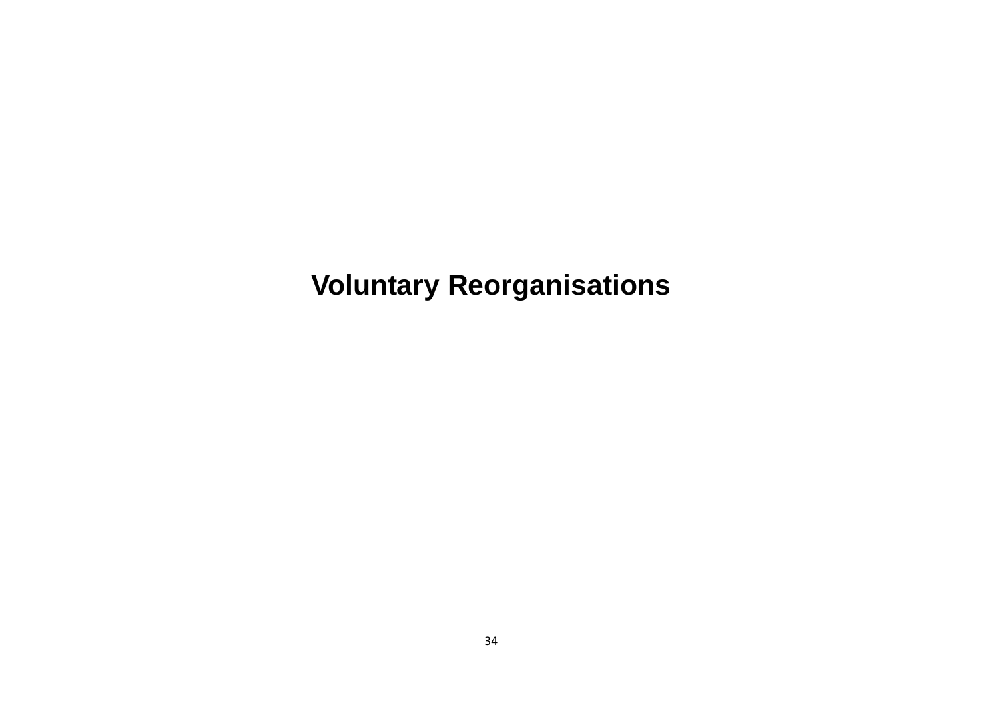<span id="page-33-0"></span>**Voluntary Reorganisations**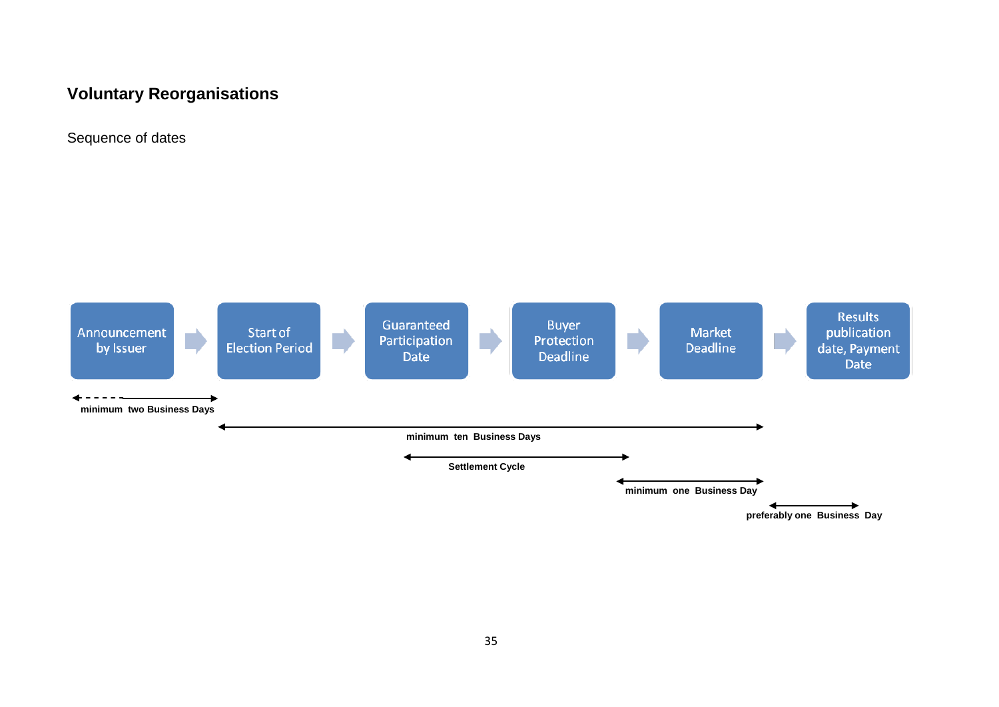# **Voluntary Reorganisations**

Sequence of dates

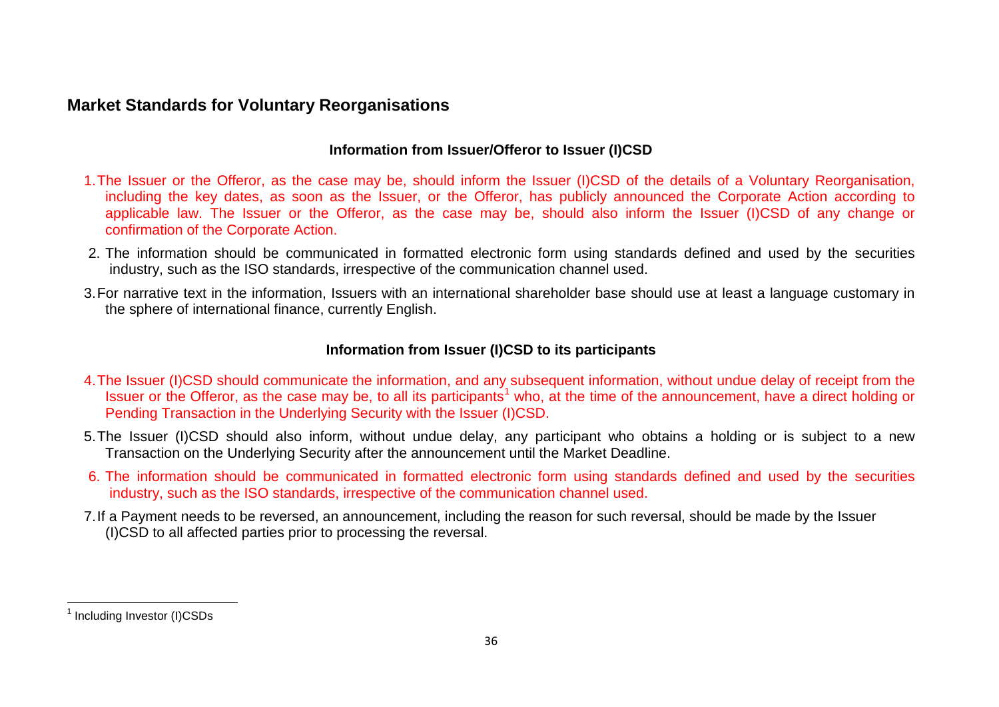# **Market Standards for Voluntary Reorganisations**

## <span id="page-35-0"></span>**Information from Issuer/Offeror to Issuer (I)CSD**

- 1.The Issuer or the Offeror, as the case may be, should inform the Issuer (I)CSD of the details of a Voluntary Reorganisation, including the key dates, as soon as the Issuer, or the Offeror, has publicly announced the Corporate Action according to applicable law. The Issuer or the Offeror, as the case may be, should also inform the Issuer (I)CSD of any change or confirmation of the Corporate Action.
- 2. The information should be communicated in formatted electronic form using standards defined and used by the securities industry, such as the ISO standards, irrespective of the communication channel used.
- 3.For narrative text in the information, Issuers with an international shareholder base should use at least a language customary in the sphere of international finance, currently English.

#### **Information from Issuer (I)CSD to its participants**

- 4.The Issuer (I)CSD should communicate the information, and any subsequent information, without undue delay of receipt from the Issuer or the Offeror, as the case may be, to all its participants<sup>[1](#page-35-0)</sup> who, at the time of the announcement, have a direct holding or Pending Transaction in the Underlying Security with the Issuer (I)CSD.
- 5.The Issuer (I)CSD should also inform, without undue delay, any participant who obtains a holding or is subject to a new Transaction on the Underlying Security after the announcement until the Market Deadline.
- 6. The information should be communicated in formatted electronic form using standards defined and used by the securities industry, such as the ISO standards, irrespective of the communication channel used.
- 7.If a Payment needs to be reversed, an announcement, including the reason for such reversal, should be made by the Issuer (I)CSD to all affected parties prior to processing the reversal.

<sup>&</sup>lt;sup>1</sup> Including Investor (I)CSDs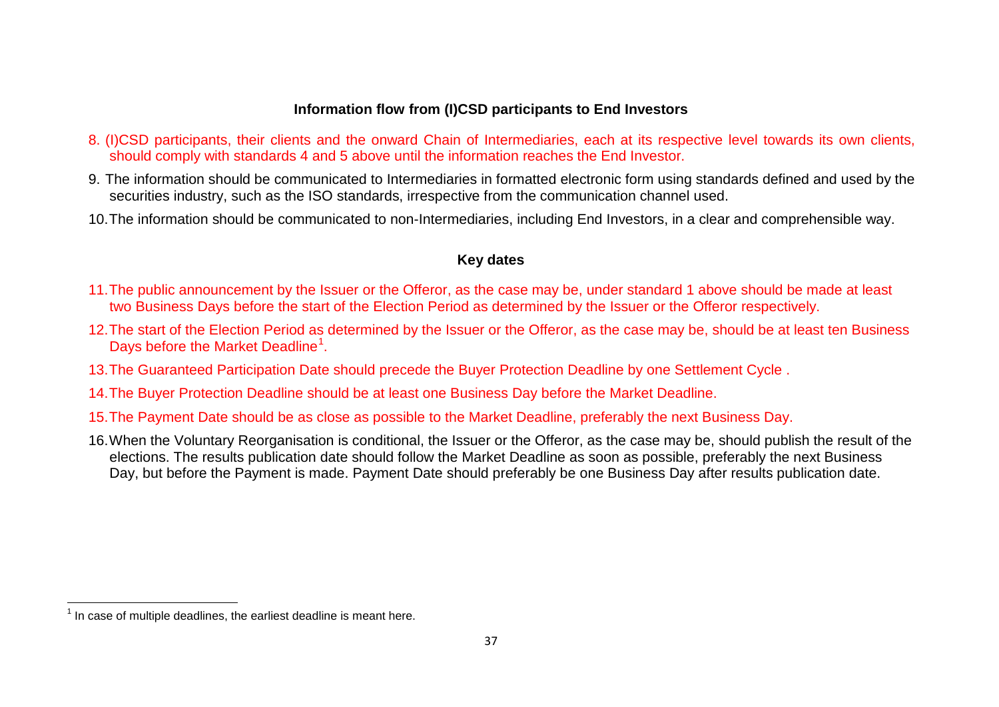## <span id="page-36-0"></span>**Information flow from (I)CSD participants to End Investors**

- 8. (I)CSD participants, their clients and the onward Chain of Intermediaries, each at its respective level towards its own clients, should comply with standards 4 and 5 above until the information reaches the End Investor.
- 9. The information should be communicated to Intermediaries in formatted electronic form using standards defined and used by the securities industry, such as the ISO standards, irrespective from the communication channel used.
- 10.The information should be communicated to non-Intermediaries, including End Investors, in a clear and comprehensible way.

## **Key dates**

- 11.The public announcement by the Issuer or the Offeror, as the case may be, under standard 1 above should be made at least two Business Days before the start of the Election Period as determined by the Issuer or the Offeror respectively.
- 12.The start of the Election Period as determined by the Issuer or the Offeror, as the case may be, should be at least ten Business Days before the Market Deadline<sup>[1](#page-36-0)</sup>.
- 13.The Guaranteed Participation Date should precede the Buyer Protection Deadline by one Settlement Cycle .
- 14.The Buyer Protection Deadline should be at least one Business Day before the Market Deadline.
- 15.The Payment Date should be as close as possible to the Market Deadline, preferably the next Business Day.
- 16.When the Voluntary Reorganisation is conditional, the Issuer or the Offeror, as the case may be, should publish the result of the elections. The results publication date should follow the Market Deadline as soon as possible, preferably the next Business Day, but before the Payment is made. Payment Date should preferably be one Business Day after results publication date.

 $<sup>1</sup>$  In case of multiple deadlines, the earliest deadline is meant here.</sup>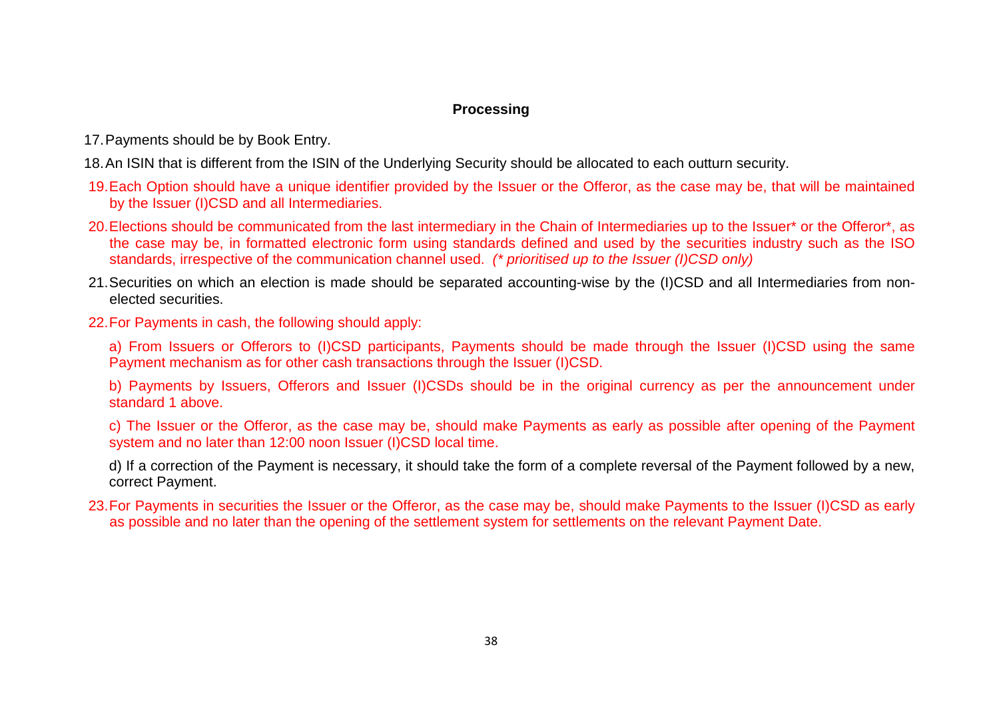#### **Processing**

17.Payments should be by Book Entry.

18.An ISIN that is different from the ISIN of the Underlying Security should be allocated to each outturn security.

- 19.Each Option should have a unique identifier provided by the Issuer or the Offeror, as the case may be, that will be maintained by the Issuer (I)CSD and all Intermediaries.
- 20. Elections should be communicated from the last intermediary in the Chain of Intermediaries up to the Issuer\* or the Offeror\*, as the case may be, in formatted electronic form using standards defined and used by the securities industry such as the ISO standards, irrespective of the communication channel used. *(\* prioritised up to the Issuer (I)CSD only)*
- 21.Securities on which an election is made should be separated accounting-wise by the (I)CSD and all Intermediaries from nonelected securities.
- 22.For Payments in cash, the following should apply:

a) From Issuers or Offerors to (I)CSD participants, Payments should be made through the Issuer (I)CSD using the same Payment mechanism as for other cash transactions through the Issuer (I)CSD.

b) Payments by Issuers, Offerors and Issuer (I)CSDs should be in the original currency as per the announcement under standard 1 above.

c) The Issuer or the Offeror, as the case may be, should make Payments as early as possible after opening of the Payment system and no later than 12:00 noon Issuer (I)CSD local time.

d) If a correction of the Payment is necessary, it should take the form of a complete reversal of the Payment followed by a new, correct Payment.

23.For Payments in securities the Issuer or the Offeror, as the case may be, should make Payments to the Issuer (I)CSD as early as possible and no later than the opening of the settlement system for settlements on the relevant Payment Date.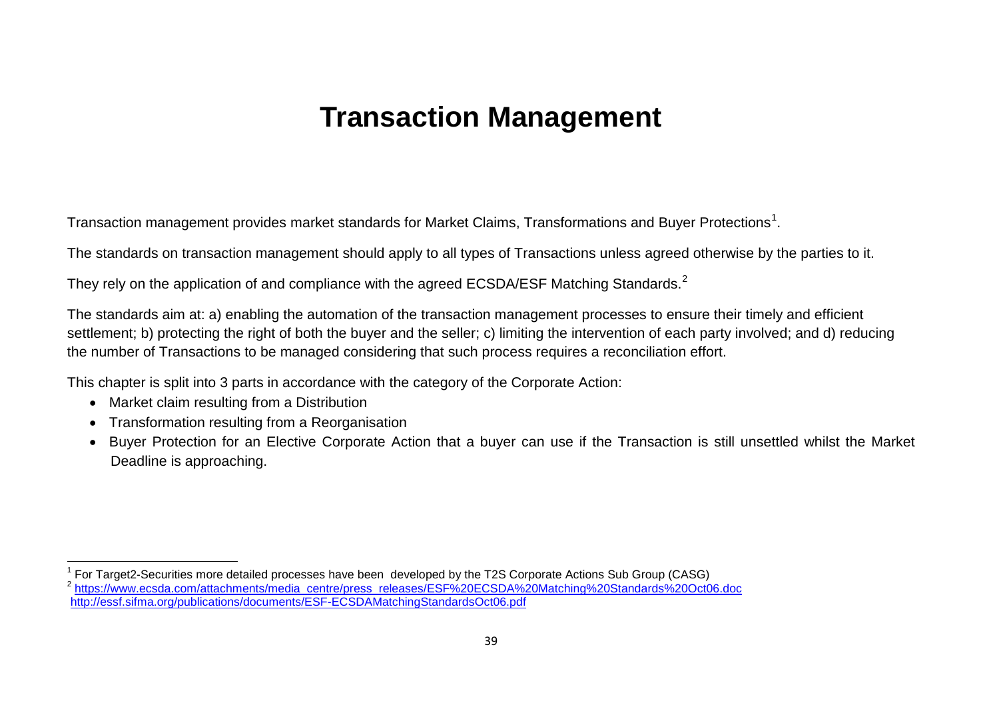# <span id="page-38-1"></span><span id="page-38-0"></span>**Transaction Management**

Transaction management provides market standards for Market Claims, Transformations and Buyer Protections $^{\rm 1}.$  $^{\rm 1}.$  $^{\rm 1}.$ 

The standards on transaction management should apply to all types of Transactions unless agreed otherwise by the parties to it.

They rely on the application of and compliance with the agreed ECSDA/ESF Matching Standards.<sup>[2](#page-38-1)</sup>

The standards aim at: a) enabling the automation of the transaction management processes to ensure their timely and efficient settlement; b) protecting the right of both the buyer and the seller; c) limiting the intervention of each party involved; and d) reducing the number of Transactions to be managed considering that such process requires a reconciliation effort.

This chapter is split into 3 parts in accordance with the category of the Corporate Action:

- Market claim resulting from a Distribution
- Transformation resulting from a Reorganisation
- Buyer Protection for an Elective Corporate Action that a buyer can use if the Transaction is still unsettled whilst the Market Deadline is approaching.

<sup>&</sup>lt;sup>1</sup> For Target2-Securities more detailed processes have been developed by the T2S Corporate Actions Sub Group (CASG)<br><sup>2</sup> https://www.ecsda.com/attachments/media\_centre/press\_releases/ESF%20ECSDA%20Matching%20Standards%20Oc <http://essf.sifma.org/publications/documents/ESF-ECSDAMatchingStandardsOct06.pdf>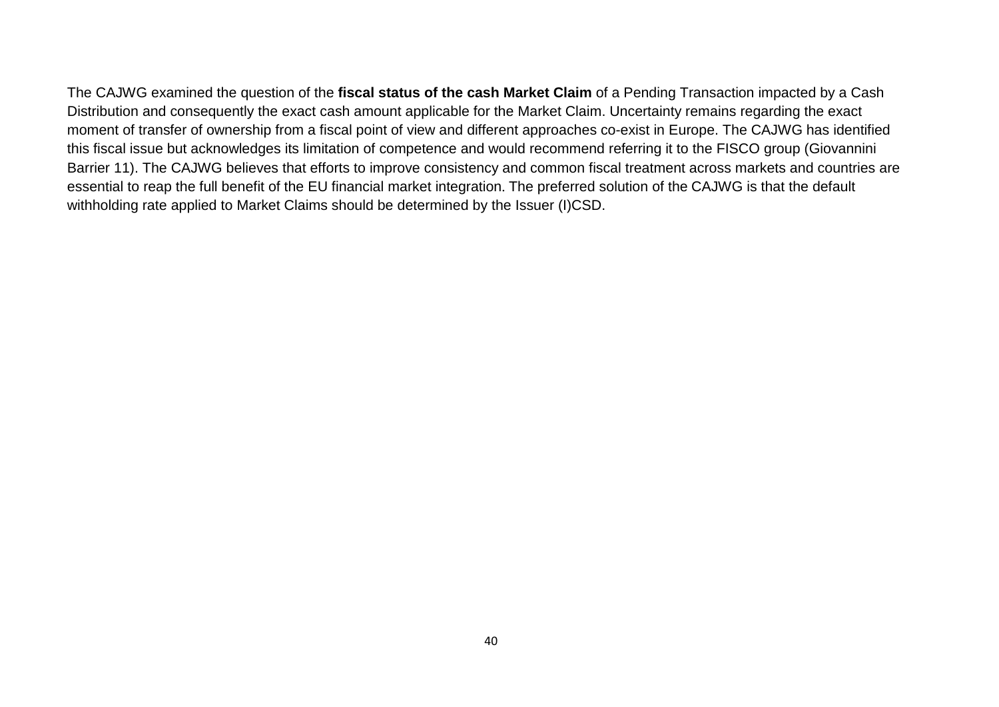<span id="page-39-0"></span>The CAJWG examined the question of the **fiscal status of the cash Market Claim** of a Pending Transaction impacted by a Cash Distribution and consequently the exact cash amount applicable for the Market Claim. Uncertainty remains regarding the exact moment of transfer of ownership from a fiscal point of view and different approaches co-exist in Europe. The CAJWG has identified this fiscal issue but acknowledges its limitation of competence and would recommend referring it to the FISCO group (Giovannini Barrier 11). The CAJWG believes that efforts to improve consistency and common fiscal treatment across markets and countries are essential to reap the full benefit of the EU financial market integration. The preferred solution of the CAJWG is that the default withholding rate applied to Market Claims should be determined by the Issuer (I)CSD.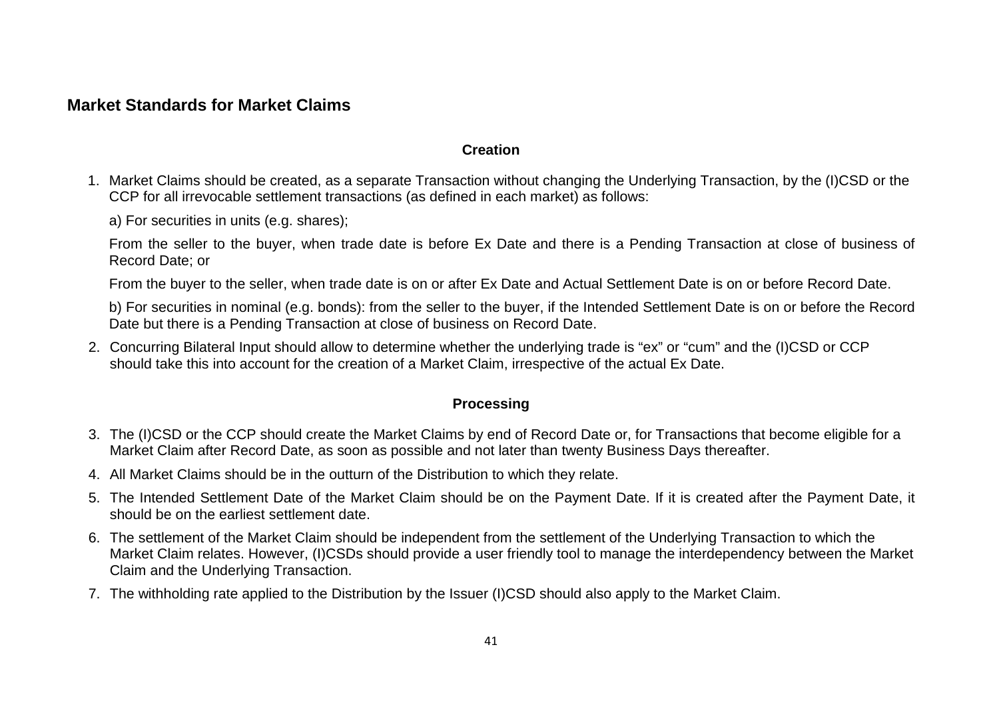# **Market Standards for Market Claims**

#### **Creation**

1. Market Claims should be created, as a separate Transaction without changing the Underlying Transaction, by the (I)CSD or the CCP for all irrevocable settlement transactions (as defined in each market) as follows:

a) For securities in units (e.g. shares);

From the seller to the buyer, when trade date is before Ex Date and there is a Pending Transaction at close of business of Record Date; or

From the buyer to the seller, when trade date is on or after Ex Date and Actual Settlement Date is on or before Record Date.

b) For securities in nominal (e.g. bonds): from the seller to the buyer, if the Intended Settlement Date is on or before the Record Date but there is a Pending Transaction at close of business on Record Date.

2. Concurring Bilateral Input should allow to determine whether the underlying trade is "ex" or "cum" and the (I)CSD or CCP should take this into account for the creation of a Market Claim, irrespective of the actual Ex Date.

#### **Processing**

- 3. The (I)CSD or the CCP should create the Market Claims by end of Record Date or, for Transactions that become eligible for a Market Claim after Record Date, as soon as possible and not later than twenty Business Days thereafter.
- 4. All Market Claims should be in the outturn of the Distribution to which they relate.
- 5. The Intended Settlement Date of the Market Claim should be on the Payment Date. If it is created after the Payment Date, it should be on the earliest settlement date.
- 6. The settlement of the Market Claim should be independent from the settlement of the Underlying Transaction to which the Market Claim relates. However, (I)CSDs should provide a user friendly tool to manage the interdependency between the Market Claim and the Underlying Transaction.
- 7. The withholding rate applied to the Distribution by the Issuer (I)CSD should also apply to the Market Claim.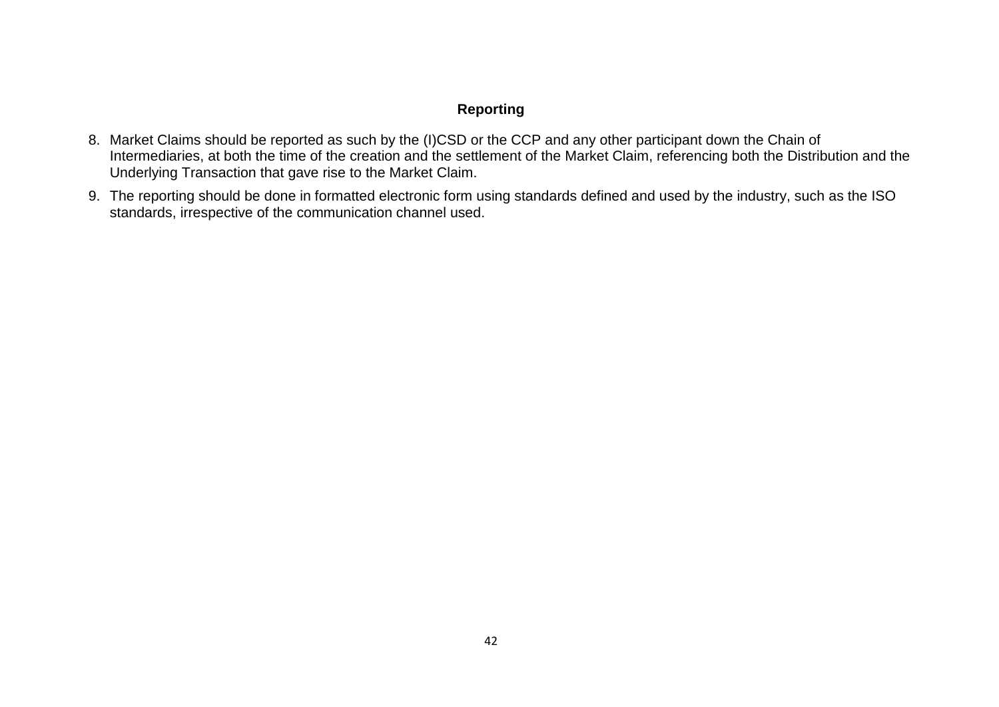# **Reporting**

- 8. Market Claims should be reported as such by the (I)CSD or the CCP and any other participant down the Chain of Intermediaries, at both the time of the creation and the settlement of the Market Claim, referencing both the Distribution and the Underlying Transaction that gave rise to the Market Claim.
- <span id="page-41-0"></span>9. The reporting should be done in formatted electronic form using standards defined and used by the industry, such as the ISO standards, irrespective of the communication channel used.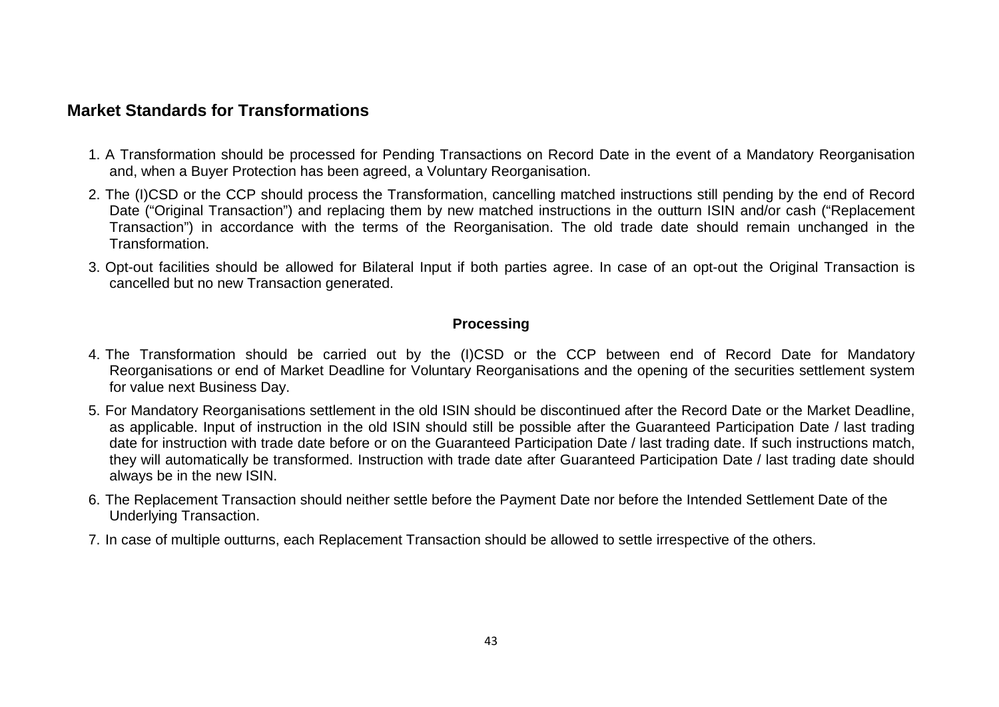# **Market Standards for Transformations**

- 1. A Transformation should be processed for Pending Transactions on Record Date in the event of a Mandatory Reorganisation and, when a Buyer Protection has been agreed, a Voluntary Reorganisation.
- 2. The (I)CSD or the CCP should process the Transformation, cancelling matched instructions still pending by the end of Record Date ("Original Transaction") and replacing them by new matched instructions in the outturn ISIN and/or cash ("Replacement Transaction") in accordance with the terms of the Reorganisation. The old trade date should remain unchanged in the Transformation.
- 3. Opt-out facilities should be allowed for Bilateral Input if both parties agree. In case of an opt-out the Original Transaction is cancelled but no new Transaction generated.

#### **Processing**

- 4. The Transformation should be carried out by the (I)CSD or the CCP between end of Record Date for Mandatory Reorganisations or end of Market Deadline for Voluntary Reorganisations and the opening of the securities settlement system for value next Business Day.
- 5. For Mandatory Reorganisations settlement in the old ISIN should be discontinued after the Record Date or the Market Deadline, as applicable. Input of instruction in the old ISIN should still be possible after the Guaranteed Participation Date / last trading date for instruction with trade date before or on the Guaranteed Participation Date / last trading date. If such instructions match, they will automatically be transformed. Instruction with trade date after Guaranteed Participation Date / last trading date should always be in the new ISIN.
- 6. The Replacement Transaction should neither settle before the Payment Date nor before the Intended Settlement Date of the Underlying Transaction.
- 7. In case of multiple outturns, each Replacement Transaction should be allowed to settle irrespective of the others.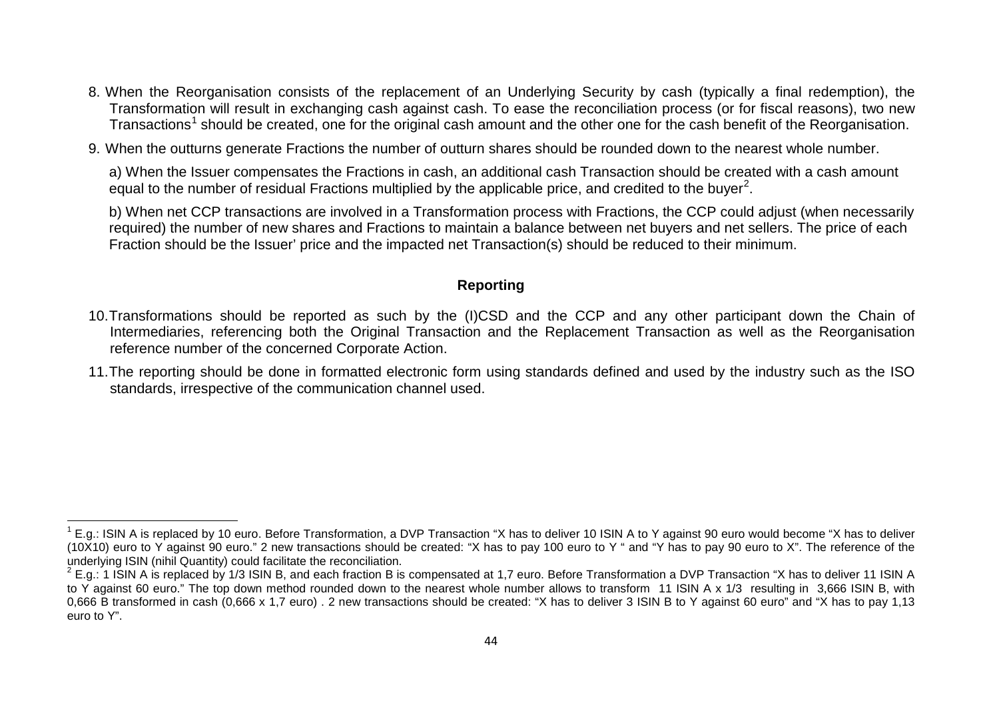- 8. When the Reorganisation consists of the replacement of an Underlying Security by cash (typically a final redemption), the Transformation will result in exchanging cash against cash. To ease the reconciliation process (or for fiscal reasons), two new Transactions<sup>[1](#page-43-1)</sup> should be created, one for the original cash amount and the other one for the cash benefit of the Reorganisation.
- 9. When the outturns generate Fractions the number of outturn shares should be rounded down to the nearest whole number.

a) When the Issuer compensates the Fractions in cash, an additional cash Transaction should be created with a cash amount equal to the number of residual Fractions multiplied by the applicable price, and credited to the buyer<sup>[2](#page-43-2)</sup>.

b) When net CCP transactions are involved in a Transformation process with Fractions, the CCP could adjust (when necessarily required) the number of new shares and Fractions to maintain a balance between net buyers and net sellers. The price of each Fraction should be the Issuer' price and the impacted net Transaction(s) should be reduced to their minimum.

#### <span id="page-43-2"></span><span id="page-43-1"></span>**Reporting**

- 10.Transformations should be reported as such by the (I)CSD and the CCP and any other participant down the Chain of Intermediaries, referencing both the Original Transaction and the Replacement Transaction as well as the Reorganisation reference number of the concerned Corporate Action.
- <span id="page-43-0"></span>11.The reporting should be done in formatted electronic form using standards defined and used by the industry such as the ISO standards, irrespective of the communication channel used.

 $1$  E.g.: ISIN A is replaced by 10 euro. Before Transformation, a DVP Transaction "X has to deliver 10 ISIN A to Y against 90 euro would become "X has to deliver (10X10) euro to Y against 90 euro." 2 new transactions should be created: "X has to pay 100 euro to Y " and "Y has to pay 90 euro to X". The reference of the underlying ISIN (nihil Quantity) could facilitate the reconciliation.

 $^{2}$  E.g.: 1 ISIN A is replaced by 1/3 ISIN B, and each fraction B is compensated at 1.7 euro. Before Transformation a DVP Transaction "X has to deliver 11 ISIN A to Y against 60 euro." The top down method rounded down to the nearest whole number allows to transform 11 ISIN A x 1/3 resulting in 3,666 ISIN B, with 0,666 B transformed in cash (0,666 x 1,7 euro) . 2 new transactions should be created: "X has to deliver 3 ISIN B to Y against 60 euro" and "X has to pay 1,13 euro to Y".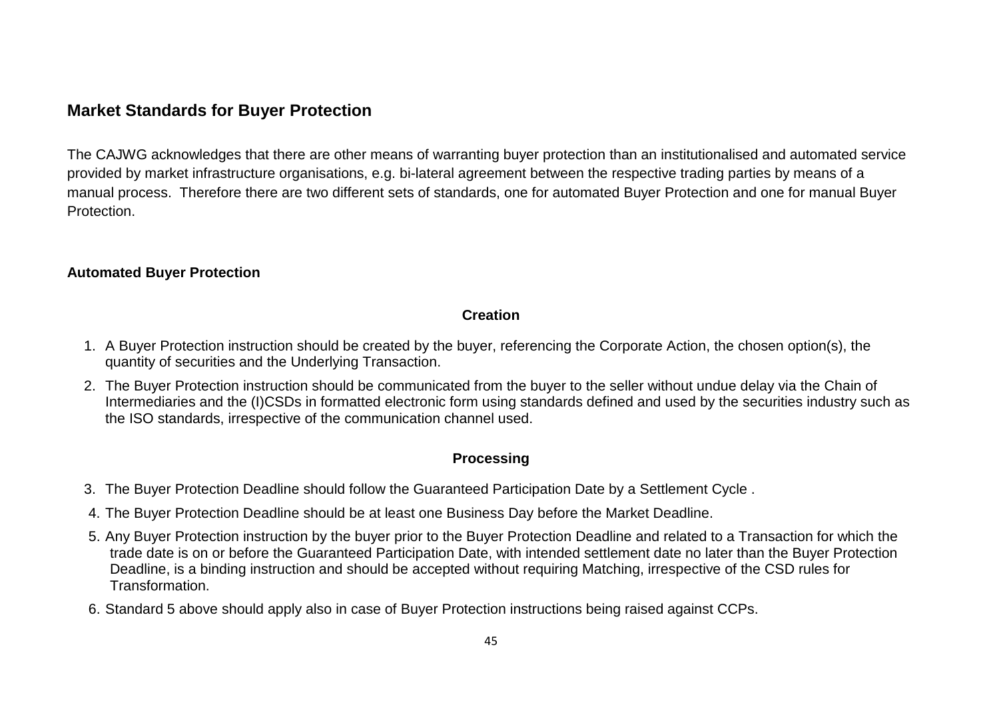# **Market Standards for Buyer Protection**

The CAJWG acknowledges that there are other means of warranting buyer protection than an institutionalised and automated service provided by market infrastructure organisations, e.g. bi-lateral agreement between the respective trading parties by means of a manual process. Therefore there are two different sets of standards, one for automated Buyer Protection and one for manual Buyer Protection.

#### **Automated Buyer Protection**

#### **Creation**

- 1. A Buyer Protection instruction should be created by the buyer, referencing the Corporate Action, the chosen option(s), the quantity of securities and the Underlying Transaction.
- 2. The Buyer Protection instruction should be communicated from the buyer to the seller without undue delay via the Chain of Intermediaries and the (I)CSDs in formatted electronic form using standards defined and used by the securities industry such as the ISO standards, irrespective of the communication channel used.

# **Processing**

- 3. The Buyer Protection Deadline should follow the Guaranteed Participation Date by a Settlement Cycle .
- 4. The Buyer Protection Deadline should be at least one Business Day before the Market Deadline.
- 5. Any Buyer Protection instruction by the buyer prior to the Buyer Protection Deadline and related to a Transaction for which the trade date is on or before the Guaranteed Participation Date, with intended settlement date no later than the Buyer Protection Deadline, is a binding instruction and should be accepted without requiring Matching, irrespective of the CSD rules for Transformation.
- 6. Standard 5 above should apply also in case of Buyer Protection instructions being raised against CCPs.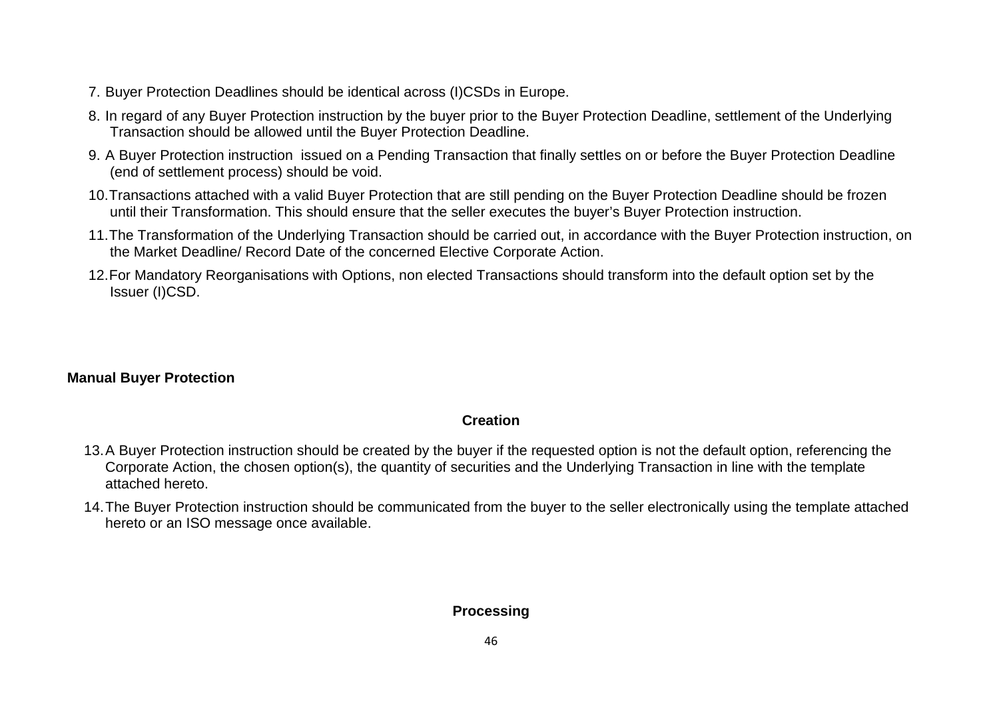- 7. Buyer Protection Deadlines should be identical across (I)CSDs in Europe.
- 8. In regard of any Buyer Protection instruction by the buyer prior to the Buyer Protection Deadline, settlement of the Underlying Transaction should be allowed until the Buyer Protection Deadline.
- 9. A Buyer Protection instruction issued on a Pending Transaction that finally settles on or before the Buyer Protection Deadline (end of settlement process) should be void.
- 10.Transactions attached with a valid Buyer Protection that are still pending on the Buyer Protection Deadline should be frozen until their Transformation. This should ensure that the seller executes the buyer's Buyer Protection instruction.
- 11.The Transformation of the Underlying Transaction should be carried out, in accordance with the Buyer Protection instruction, on the Market Deadline/ Record Date of the concerned Elective Corporate Action.
- 12.For Mandatory Reorganisations with Options, non elected Transactions should transform into the default option set by the Issuer (I)CSD.

# **Manual Buyer Protection**

# **Creation**

- 13.A Buyer Protection instruction should be created by the buyer if the requested option is not the default option, referencing the Corporate Action, the chosen option(s), the quantity of securities and the Underlying Transaction in line with the template attached hereto.
- 14.The Buyer Protection instruction should be communicated from the buyer to the seller electronically using the template attached hereto or an ISO message once available.

# **Processing**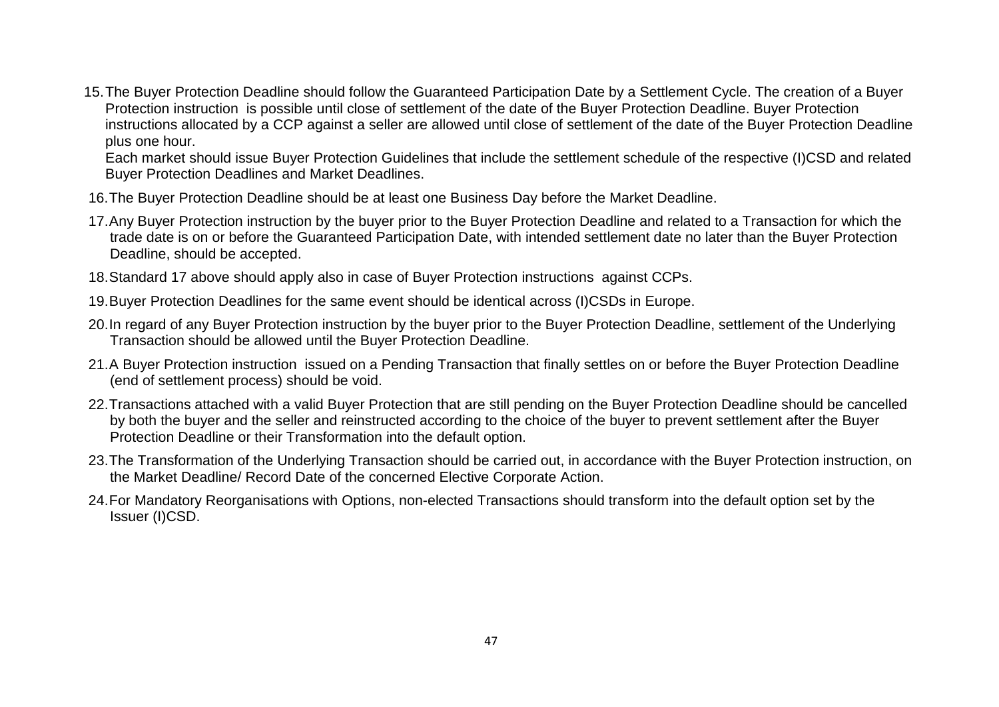15.The Buyer Protection Deadline should follow the Guaranteed Participation Date by a Settlement Cycle. The creation of a Buyer Protection instruction is possible until close of settlement of the date of the Buyer Protection Deadline. Buyer Protection instructions allocated by a CCP against a seller are allowed until close of settlement of the date of the Buyer Protection Deadline plus one hour.

Each market should issue Buyer Protection Guidelines that include the settlement schedule of the respective (I)CSD and related Buyer Protection Deadlines and Market Deadlines.

- 16.The Buyer Protection Deadline should be at least one Business Day before the Market Deadline.
- 17.Any Buyer Protection instruction by the buyer prior to the Buyer Protection Deadline and related to a Transaction for which the trade date is on or before the Guaranteed Participation Date, with intended settlement date no later than the Buyer Protection Deadline, should be accepted.
- 18.Standard 17 above should apply also in case of Buyer Protection instructions against CCPs.
- 19.Buyer Protection Deadlines for the same event should be identical across (I)CSDs in Europe.
- 20.In regard of any Buyer Protection instruction by the buyer prior to the Buyer Protection Deadline, settlement of the Underlying Transaction should be allowed until the Buyer Protection Deadline.
- 21.A Buyer Protection instruction issued on a Pending Transaction that finally settles on or before the Buyer Protection Deadline (end of settlement process) should be void.
- 22.Transactions attached with a valid Buyer Protection that are still pending on the Buyer Protection Deadline should be cancelled by both the buyer and the seller and reinstructed according to the choice of the buyer to prevent settlement after the Buyer Protection Deadline or their Transformation into the default option.
- 23.The Transformation of the Underlying Transaction should be carried out, in accordance with the Buyer Protection instruction, on the Market Deadline/ Record Date of the concerned Elective Corporate Action.
- 24.For Mandatory Reorganisations with Options, non-elected Transactions should transform into the default option set by the Issuer (I)CSD.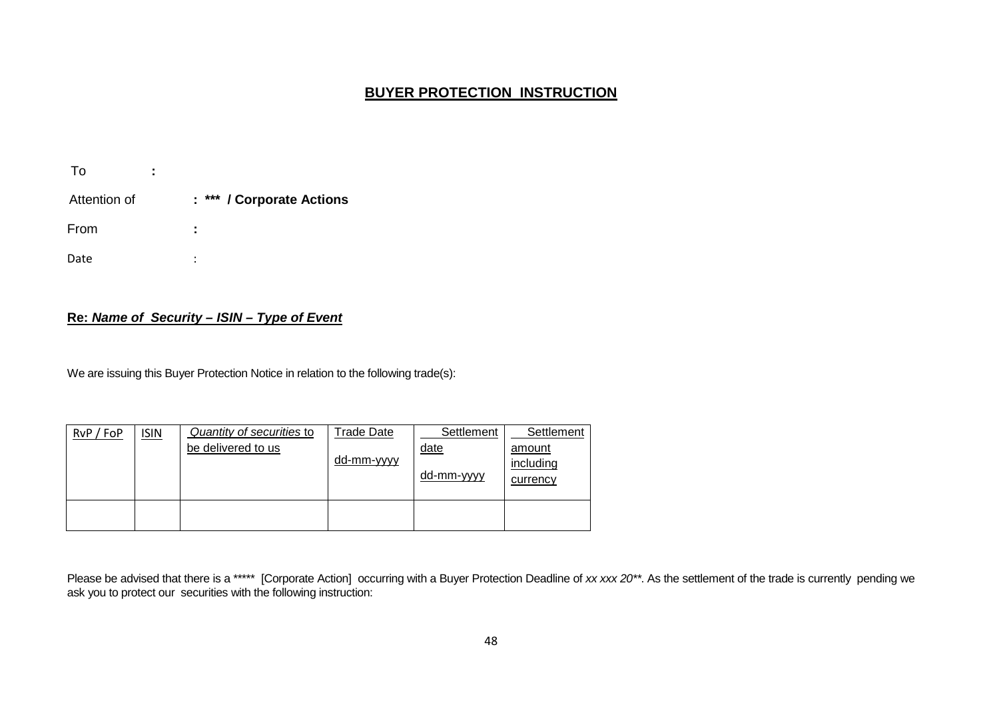#### **BUYER PROTECTION INSTRUCTION**

| To           | ٠<br>٠ |                           |
|--------------|--------|---------------------------|
| Attention of |        | : *** / Corporate Actions |
| From         |        | ٠<br>٠                    |
| Date         |        | ٠<br>٠                    |

#### **Re:** *Name of Security – ISIN – Type of Event*

We are issuing this Buyer Protection Notice in relation to the following trade(s):

| RvP / FoP | <u>ISIN</u> | Quantity of securities to | <b>Trade Date</b>  | Settlement                | Settlement                      |
|-----------|-------------|---------------------------|--------------------|---------------------------|---------------------------------|
|           |             | be delivered to us        | dd-mm- <u>yyyy</u> | <u>date</u><br>dd-mm-yyyy | amount<br>including<br>currency |
|           |             |                           |                    |                           |                                 |

Please be advised that there is a \*\*\*\*\* [Corporate Action] occurring with a Buyer Protection Deadline of *xx xxx 20\*\**. As the settlement of the trade is currently pending we ask you to protect our securities with the following instruction: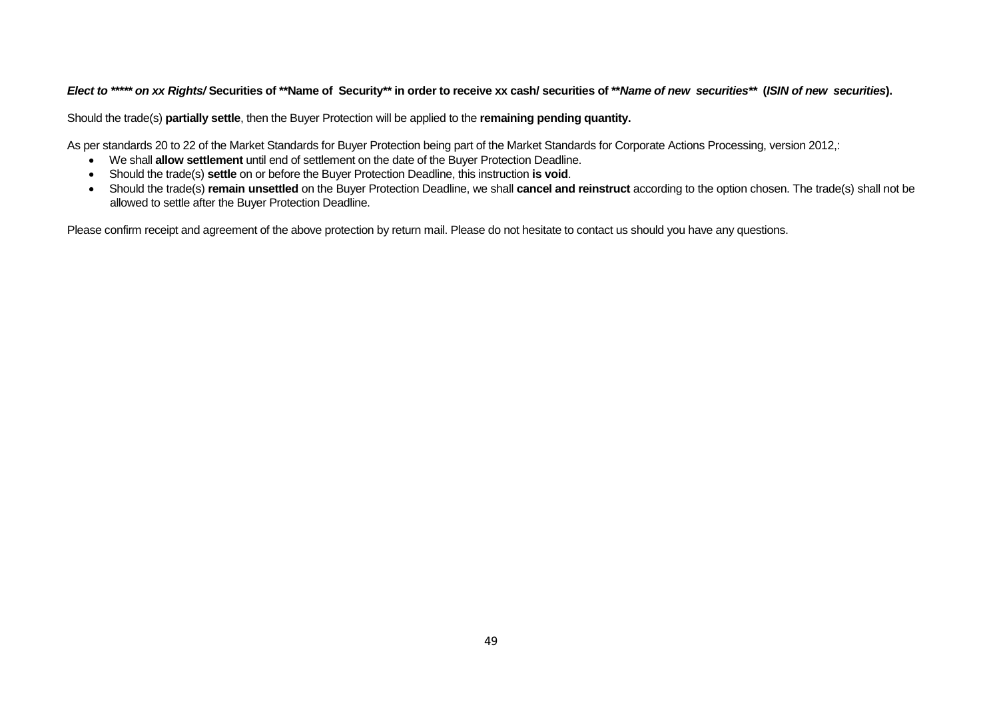#### *Elect to \*\*\*\*\* on xx Rights/* **Securities of \*\*Name of Security\*\* in order to receive xx cash/ securities of \*\****Name of new securities\*\** **(***ISIN of new securities***).**

Should the trade(s) **partially settle**, then the Buyer Protection will be applied to the **remaining pending quantity.**

As per standards 20 to 22 of the Market Standards for Buyer Protection being part of the Market Standards for Corporate Actions Processing, version 2012,:

- We shall **allow settlement** until end of settlement on the date of the Buyer Protection Deadline.
- Should the trade(s) **settle** on or before the Buyer Protection Deadline, this instruction **is void**.
- Should the trade(s) **remain unsettled** on the Buyer Protection Deadline, we shall **cancel and reinstruct** according to the option chosen. The trade(s) shall not be allowed to settle after the Buyer Protection Deadline.

Please confirm receipt and agreement of the above protection by return mail. Please do not hesitate to contact us should you have any questions.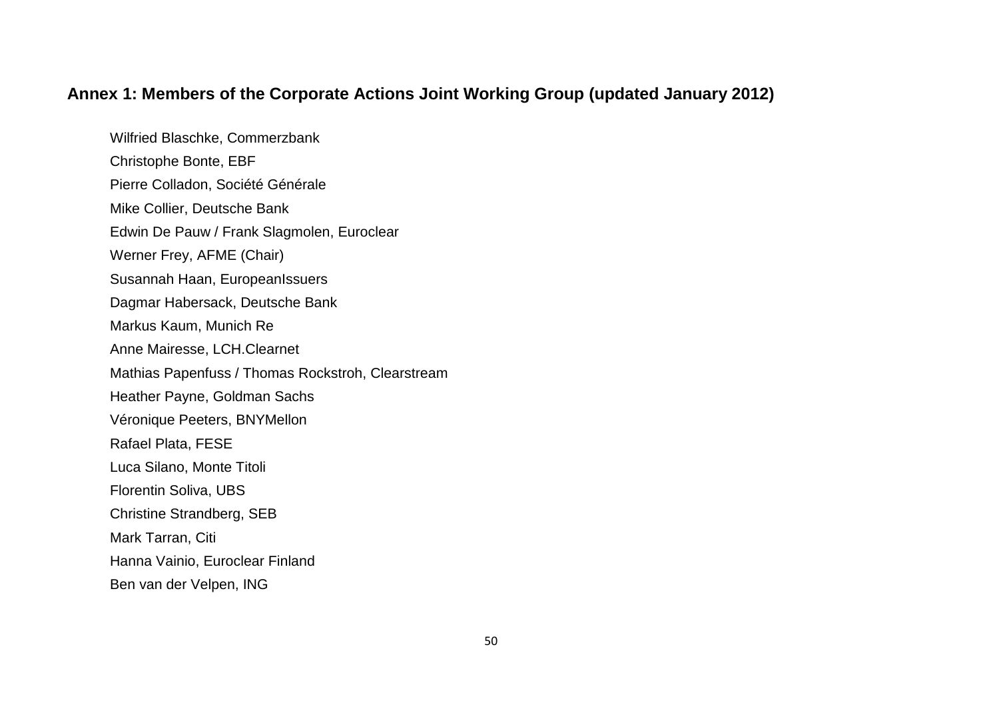# **Annex 1: Members of the Corporate Actions Joint Working Group (updated January 2012)**

Wilfried Blaschke, Commerzbank Christophe Bonte, EBF Pierre Colladon, Société Générale Mike Collier, Deutsche Bank Edwin De Pauw / Frank Slagmolen, Euroclear Werner Frey, AFME (Chair) Susannah Haan, EuropeanIssuers Dagmar Habersack, Deutsche Bank Markus Kaum, Munich Re Anne Mairesse, LCH.Clearnet Mathias Papenfuss / Thomas Rockstroh, Clearstream Heather Payne, Goldman Sachs Véronique Peeters, BNYMellon Rafael Plata, FESE Luca Silano, Monte Titoli Florentin Soliva, UBS Christine Strandberg, SEB Mark Tarran, Citi Hanna Vainio, Euroclear Finland Ben van der Velpen, ING